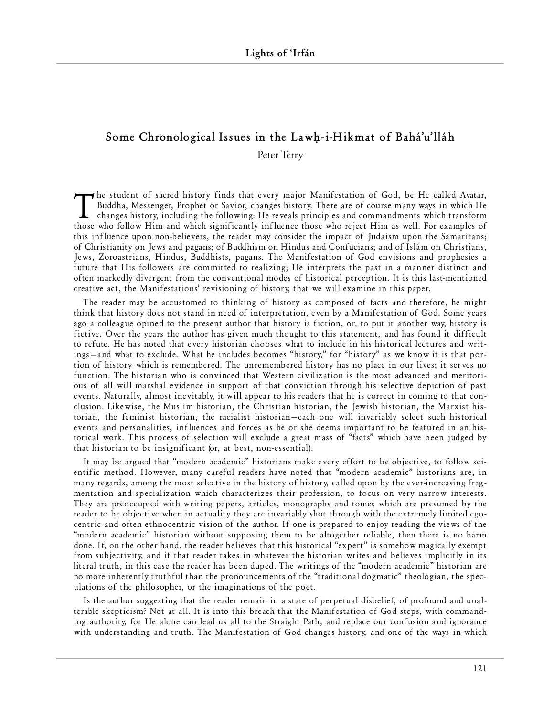## Some Chronological Issues in the Lawh-i-Hikmat of Bahá'u'lláh

Peter Terry

The student of sacred history finds that every major Manifestation of God, be He called Avatar,<br>Buddha, Messenger, Prophet or Savior, changes history. There are of course many ways in which He<br>changes history, including th  $\rightarrow$  he student of sacred history finds that every major Manifestation of God, be He called Avatar, Buddha, Messenger, Prophet or Savior, changes history. There are of course many ways in which He changes history, including the following: He reveals principles and commandments which transform this influence upon non-believers, the reader may consider the impact of Judaism upon the Samaritans; of Christianity on Jews and pagans; of Buddhism on Hindus and Confucians; and of Islám on Christians, Jews, Zoroastrians, Hindus, Buddhists, pagans. The Manifestation of God envisions and prophesies a future that His followers are committed to realizing; He interprets the past in a manner distinct and often markedly divergent from the conventional modes of historical perception. It is this last-mentioned creative act, the Manifestations' revisioning of history, that we will examine in this paper.

The reader may be accustomed to thinking of history as composed of facts and therefore, he might think that history does not stand in need of interpretation, even by a Manifestation of God. Some years ago a colleague opined to the present author that history is fiction, or, to put it another way, history is fictive. Over the years the author has given much thought to this statement, and has found it difficult to refute. He has noted that every historian chooses what to include in his historical lectures and writings—and what to exclude. What he includes becomes "history," for "history" as we know it is that portion of history which is remembered. The unremembered history has no place in our lives; it serves no function. The historian who is convinced that Western civilization is the most advanced and meritorious of all will marshal evidence in support of that conviction through his selective depiction of past events. Naturally, almost inevitably, it will appear to his readers that he is correct in coming to that conclusion. Likewise, the Muslim historian, the Christian historian, the Jewish historian, the Marxist historian, the feminist historian, the racialist historian–each one will invariably select such historical events and personalities, influences and forces as he or she deems important to be featured in an historical work. This process of selection will exclude a great mass of "facts" which have been judged by that historian to be insignificant (or, at best, non-essential).

It may be argued that "modern academic" historians make every effort to be objective, to follow scientific method. However, many careful readers have noted that "modern academic" historians are, in many regards, among the most selective in the history of history, called upon by the ever-increasing fragmentation and specialization which characterizes their profession, to focus on very narrow interests. They are preoccupied with writing papers, articles, monographs and tomes which are presumed by the reader to be objective when in actuality they are invariably shot through with the extremely limited egocentric and often ethno centric vision of the author. If one is prepared to enjoy reading the views of the "modern academic" historian without supposing them to be altogether reliable, then there is no harm done. If, on the other hand, the reader believes that this historical "expert" is somehow magically exempt from subjectivity, and if that reader takes in whatever the historian writes and believes implicitly in its literal truth, in this case the reader has been duped. The writings of the "modern academic" historian are no more inherently truthful than the pronouncements of the "traditional dogmatic" theologian, the speculations of the philosopher, or the imaginations of the poet.

Is the author suggesting that the reader remain in a state of perpetual disbelief, of profound and unalterable skepticism? Not at all. It is into this breach that the Manifestation of God steps, with commanding authority, for He alone can lead us all to the Straight Path, and replace our confusion and ignorance with understanding and truth. The Manifestation of God changes history, and one of the ways in which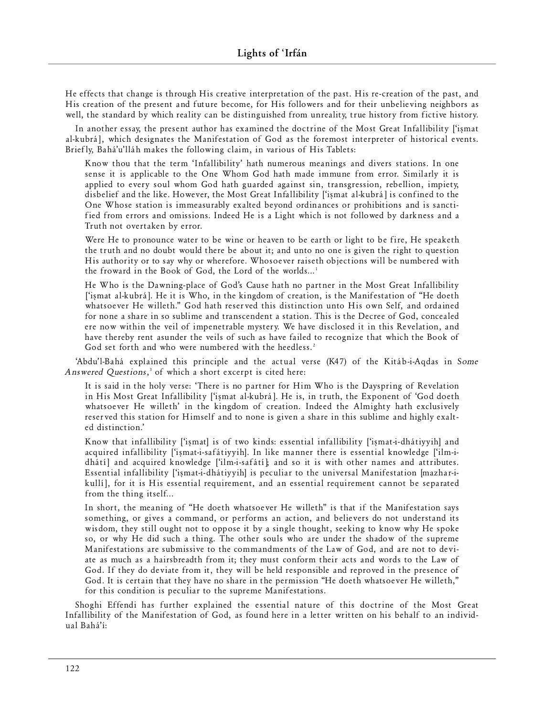He effects that change is through His creative interpretation of the past. His re-creation of the past, and His creation of the present and future become, for His followers and for their unbelieving neighbors as well, the standard by which reality can be distinguished from unreality, true history from fictive history.

In another essay, the present author has examined the doctrine of the Most Great Infallibility ['ismat al-kubrá], which designates the Manifestation of God as the foremost interpreter of historical events. Briefly, Bahá'u'lláh makes the following claim, in various of His Tablets:

Know thou that the term 'Infallibility' hath numerous meanings and divers stations. In one sense it is applicable to the One Whom God hath made immune from error. Similarly it is applied to every soul whom God hath guarded against sin, transgression, rebellion, impiety, disbelief and the like. However, the Most Great Infallibility ['ismat al-kubrá] is confined to the One Whose station is immeasurably exalted beyond ordinances or prohibitions and is sanctified from errors and omissions. Indeed He is a Light which is not followed by darkness and a Truth not overtaken by error.

Were He to pronounce water to be wine or heaven to be earth or light to be fire, He speaketh the truth and no doubt would there be about it; and unto no one is given the right to question His authority or to say why or wherefore. Whosoever raiseth objections will be numbered with the froward in the Book of God, the Lord of the worlds...<sup>1</sup>

He Who is the Dawning-place of God's Cause hath no partner in the Most Great Infallibility ['ismat al-kubra]. He it is Who, in the kingdom of creation, is the Manifestation of "He doeth" whatsoever He willeth." God hath reserved this distinction unto His own Self, and ordained for none a share in so sublime and transcendent a station. This is the Decree of God, concealed ere now within the veil of impenetrable mystery. We have disclosed it in this Revelation, and have thereby rent asunder the veils of such as have failed to recognize that which the Book of God set forth and who were numbered with the heedless.<sup>2</sup>

'Abdu'l-Bahá explained this principle and the actual verse (K47) of the Kitáb-i-Aqdas in Some Answered Questions,<sup>3</sup> of which a short excerpt is cited here:

It is said in the holy verse: 'There is no partner for Him Who is the Dayspring of Revelation in His Most Great Infallibility ['ismat al-kubra']. He is, in truth, the Exponent of 'God doeth whatsoever He willeth' in the kingdom of creation. Indeed the Almighty hath exclusively reserved this station for Himself and to none is given a share in this sublime and highly exalted distinction.'

Know that infallibility ['iṣmat] is of two kinds: essential infallibility ['iṣmat-i-dhátiyyih] and acquired infallibility ['işmat-i-saf á tiyyih]. In like manner there is essential knowledge ['ilm-idhátí] and acquired knowledge ['ilm-i-safátí]; and so it is with other names and attributes. Essential infallibility ['iṣmat-i-dhátiyyih] is peculiar to the universal Manifestation [mazhar-ikullí), for it is His essential requirement, and an essential requirement cannot be separated from the thing itself...

In short, the meaning of "He doeth whatsoever He willeth" is that if the Manifestation says something, or gives a command, or performs an action, and believers do not understand its w is dom, they still ought not to oppose it by a single thought, seeking to know why He spoke so, or why He did such a thing. The other souls who are under the shadow of the supreme Manifestations are submissive to the commandments of the Law of God, and are not to deviate as much as a hairsbreadth from it; they must conform their acts and words to the Law of God. If they do deviate from it, they will be held responsible and reproved in the presence of God. It is certain that they have no share in the permission "He doeth whatsoever He willeth," for this condition is peculiar to the supreme Manifestations.

Shoghi Effendi has further explained the essential nature of this doctrine of the Most Great Infallibility of the Manifestation of God, as found here in a letter written on his behalf to an individual Bahá'í: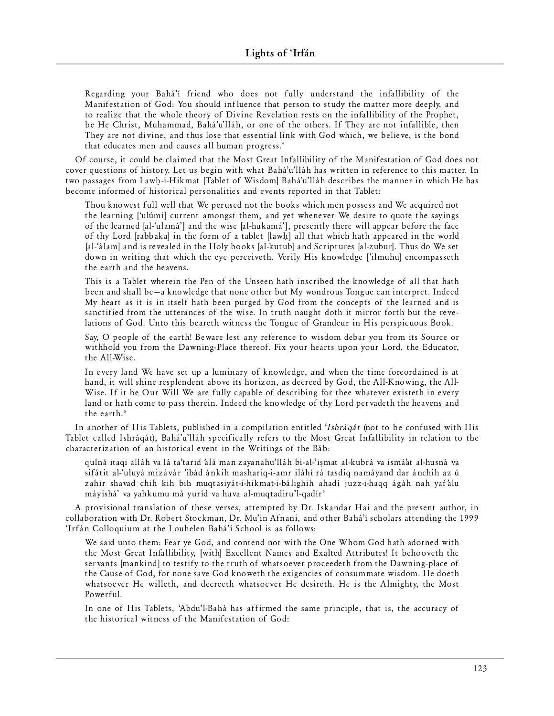Regarding your Bahá'í friend who does not fully understand the infallibility of the Manifestation of God: You should influence that person to study the matter more deeply, and to realize that the whole theory of Divine Revelation rests on the infallibility of the Prophet, be He Christ, Muhammad, Bahá'u'lláh, or one of the others. If They are not infallible, then They are not divine, and thus lose that essential link with God which, we believe, is the bond that educates men and causes all human progress.<sup>4</sup>

Of course, it could be claimed that the Most Great Infallibility of the Manifestation of God does not cover questions of history. Let us begin with what Bahá'u'lláh has written in reference to this matter. In two passages from Lawh-i-Hikmat [Tablet of Wisdom] Bahá'u'lláh describes the manner in which He has become informed of historical personalities and events reported in that Tablet:

Thou knowest full well that We perused not the books which men possess and We acquired not the learning ['ulúmi] current amongst them, and yet whenever We desire to quote the sayings of the learned [al-'ulamá'] and the wise [al-huk ama'], presently there will appear before the face of thy Lord [rabbaka] in the form of a tablet [lawh] all that which hath appeared in the world [al-'álam] and is revealed in the Holy books [al-kutub] and Scriptures [al-zubur]. Thus do We set down in writing that which the eye perceiveth. Verily His knowledge ['ilmuhu] encompasseth the earth and the heavens.

This is a Tablet wherein the Pen of the Unseen hath inscribed the knowledge of all that hath been and shall be -a knowledge that none other but My wondrous Tongue can interpret. Indeed My heart as it is in itself hath been purged by God from the concepts of the learned and is sanctified from the utterances of the wise. In truth naught doth it mirror forth but the revelations of God. Unto this beareth witness the Tongue of Grandeur in His perspicuous Book.

Say, O people of the earth! Beware lest any reference to wisdom debar you from its Source or withhold you from the Dawning-Place thereof. Fix your hearts upon your Lord, the Educator, the All-Wise.

In every land We have set up a luminary of knowledge, and when the time foreordained is at hand, it will shine resplendent above its horizon, as decreed by God, the All-Knowing, the All-Wise. If it be Our Will We are fully capable of describing for thee whatever existeth in every land or hath come to pass therein. Indeed the knowledge of thy Lord pervadeth the heavens and the earth. $5$ 

In another of His Tablets, published in a compilation entitled 'Ishraqat (not to be confused with His Tablet called Ishráqát), Bahá'u'lláh specifically refers to the Most Great Infallibility in relation to the characterization of an historical event in the Writings of the Báb:

qulná ita qi alláh va lá ta'tar id 'alá man zayan ahu' lláh bi- al-'iß m at al-k ubrá va is m á'at al-husná va sifátit al-'uluyá mizávár 'ibád ánkih mashariq-i-amr iláhí rá tasdiq namáyand dar ánchih az ú zahir shavad chih kih bih muqtasiyát-i-hikmat-i-bálighih ahadí juzz-i-haqq ágáh nah yaf'alu mávishá' va yahkumu má yuríd va huva al-mugtadiru'l-gadír<sup>6</sup>

A provisional translation of these verses, attempted by Dr. Iskandar Hai and the present author, in collaboration with Dr. Robert Stockman, Dr. Mu'in Afnani, and other Bahá'í scholars attending the 1999 'Irfán Colloquium at the Louhelen Bahá'í School is as follows:

We said unto them: Fear ye God, and contend not with the One Whom God hath adorned with the Most Great Infallibility, [with] Excellent Names and Exalted Attributes! It behooveth the servants [mankind] to testify to the truth of whatsoever proceedeth from the Dawning-place of the Cause of God, for none save God knoweth the exigencies of consummate wisdom. He doeth whatsoever He willeth, and decreeth whatsoever He desireth. He is the Almighty, the Most Powerful.

In one of His Tablets, 'Abdu'l-Bahá has affirmed the same principle, that is, the accuracy of the historical witness of the Manifestation of God: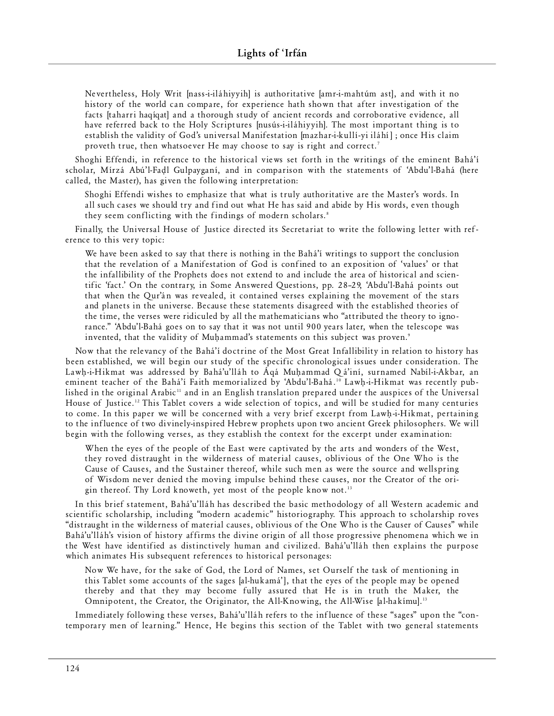Nevertheless, Holy Writ [nass-i-iláhiyyih] is authoritative [amr-i-mahtúm ast], and with it no history of the world can compare, for experience hath shown that after investigation of the facts [taharri haqíqat] and a thorough study of ancient records and corroborative evidence, all have referred back to the Holy Scriptures [nusús-i-iláhiyyih]. The most important thing is to establish the validity of God's universal Manifestation [mazhar-i-kullí-yi iláhí]; once His claim proveth true, then whatsoever He may choose to say is right and correct.<sup>7</sup>

Shoghi Effendi, in reference to the historical views set forth in the writings of the eminent Bahá'í scholar, Mírzá Abú'l-Fadl Gulpayganí, and in comparison with the statements of 'Abdu'l-Bahá (here called, the Master), has given the following interpretation:

Shoghi Effendi wishes to emphasize that what is truly authoritative are the Master's words. In all such cases we should try and find out what He has said and abide by His words, even though they seem conflicting with the findings of modern scholars.<sup>8</sup>

Finally, the Universal House of Justice directed its Secretariat to write the following letter with reference to this very topic:

We have been asked to say that there is nothing in the Bahá'í writings to support the conclusion that the revelation of a Manifestation of God is confined to an exposition of 'values' or that the infallibility of the Prophets does not extend to and include the area of historical and scientific 'fact.' On the contrary, in Some Answered Questions, pp. 28-29, 'Abdu'l-Bahá points out that when the Qur'an was revealed, it contained verses explaining the movement of the stars and planets in the universe. Because these statements disagreed with the established theories of the time, the verses were ridiculed by all the mathematicians who "attributed the theory to ignorance." 'Abdu'l-Bahá goes on to say that it was not until 900 years later, when the telescope was invented, that the validity of Muhammad's statements on this subject was proven.<sup>9</sup>

Now that the relevancy of the Bahá'í doctrine of the Most Great Infallibility in relation to history has been established, we will begin our study of the specific chronological issues under consideration. The Lawh-i-Hikmat was addressed by Bahá'u'lláh to Áqá Muhammad Qá'iní, surnamed Nabíl-i-Akbar, an eminent teacher of the Bahá'í Faith memorialized by 'Abdu'l-Bahá.<sup>10</sup> Lawh-i-Hikmat was recently published in the original Arabic<sup>11</sup> and in an English translation prepared under the auspices of the Universal House of Justice.<sup>12</sup> This Tablet covers a wide selection of topics, and will be studied for many centuries to come. In this paper we will be concerned with a very brief excerpt from Lawh-i-Hikmat, pertaining to the influence of two divinely-inspired Hebrew prophets upon two ancient Greek philosophers. We will begin with the following verses, as they establish the context for the excerpt under examination:

When the eyes of the people of the East were captivated by the arts and wonders of the West, they roved distraught in the wilderness of material causes, oblivious of the One Who is the Cause of Causes, and the Sustainer thereof, while such men as were the source and wellspring of Wisdom never denied the moving impulse behind these causes, nor the Creator of the origin thereof. Thy Lord knoweth, yet most of the people know not.<sup>13</sup>

In this brief statement, Bahá'u'lláh has described the basic methodology of all Western academic and scientific scholarship, including "modern academic" historiography. This approach to scholarship roves "distraught in the wilderness of material causes, oblivious of the One Who is the Causer of Causes" while Bahá'u'lláh's vision of history affirms the divine origin of all those progressive phenomena which we in the West have identified as distinctively human and civilized. Bahá'u'lláh then explains the purpose which animates His subsequent references to historical personages:

Now We have, for the sake of God, the Lord of Names, set Ourself the task of mentioning in this Tablet some accounts of the sages [al-huk ama'], that the eyes of the people may be opened thereby and that they may become fully assured that He is in truth the Maker, the Omnipotent, the Creator, the Originator, the All-Knowing, the All-Wise [al-hakimu].<sup>13</sup>

Immediately following these verses, Bahá'u'lláh refers to the influence of these "sages" upon the "contemporary men of learning." Hence, He begins this section of the Tablet with two general statements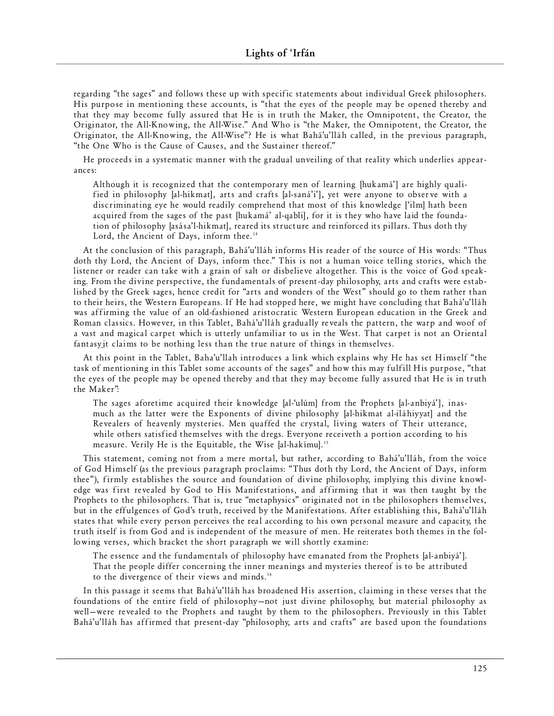regarding "the sages" and follows these up with specific statements about individual Greek philosophers. His purpose in mentioning these accounts, is "that the eyes of the people may be opened thereby and that they may become fully assured that He is in truth the Maker, the Omnipotent, the Creator, the Originator, the All-Knowing, the All-Wise." And Who is "the Maker, the Omnipotent, the Creator, the Originator, the All-Knowing, the All-Wise"? He is what Bahá'u'lláh called, in the previous paragraph, "the One Who is the Cause of Causes, and the Sustainer thereof."

He proceeds in a systematic manner with the gradual unveiling of that reality which underlies appearance s:

Although it is recognized that the contemporary men of learning [hukamá'] are highly qualified in philosophy [al-hikmat], arts and crafts [al-saná'i'], yet were anyone to observe with a discriminating eye he would readily comprehend that most of this knowledge ['ilm] hath been acquired from the sages of the past [hukamá' al-qabli], for it is they who have laid the foundation of philosophy [asása'l-hikmat], reared its structure and reinforced its pillars. Thus doth thy Lord, the Ancient of Days, inform thee.<sup>14</sup>

At the conclusion of this paragraph, Bahá'u'lláh informs His reader of the source of His words: "Thus doth thy Lord, the Ancient of Days, inform thee." This is not a human voice telling stories, which the listener or reader can take with a grain of salt or disbelieve altogether. This is the voice of God speaking. From the divine perspective, the fundamentals of present-day philosophy, arts and crafts were established by the Greek sages, hence credit for "arts and wonders of the West" should go to them rather than to their heirs, the Western Europeans. If He had stopped here, we might have concluding that Bahá'u'lláh was affirming the value of an old-fashioned aristocratic Western European education in the Greek and Roman classics. However, in this Tablet, Bahá'u'lláh gradually reveals the pattern, the warp and woof of a vast and magical carpet which is utterly unfamiliar to us in the West. That carpet is not an Oriental fantasy it claims to be nothing less than the true nature of things in themselves.

At this point in the Tablet, Baha'u'llah introduces a link which explains why He has set Himself "the task of mentioning in this Tablet some accounts of the sages" and how this may fulfill His purpose, "that the eyes of the people may be opened thereby and that they may become fully assured that He is in truth the Maker":

The sages afore time acquired their knowledge [al-'ulúm] from the Prophets [al-anbiyá'], in a smuch as the latter were the Exponents of divine philosophy [al-hikmat al-iláhiyyat] and the Revealers of heavenly mysteries. Men quaffed the crystal, living waters of Their utterance, while others satisfied themselves with the dregs. Everyone receiveth a portion according to his measure. Verily He is the Equitable, the Wise [al-hakímu].<sup>15</sup>

This statement, coming not from a mere mortal, but rather, according to Bahá'u'lláh, from the voice of God Himself (as the previous paragraph proclaims: "Thus doth thy Lord, the Ancient of Days, inform thee"), firmly establishes the source and foundation of divine philosophy, implying this divine knowledge was first revealed by God to His Manifestations, and affirming that it was then taught by the Prophets to the philosophers. That is, true "metaphysics" originated not in the philosophers themselves, but in the effulgences of God's truth, received by the Manifestations. After establishing this, Bahá'u'lláh states that while every person perceives the real according to his own personal measure and capacity, the truth itself is from God and is independent of the measure of men. He reiterates both themes in the following verses, which bracket the short paragraph we will shortly examine:

The essence and the fundamentals of philosophy have emanated from the Prophets [al-anbiyá']. That the people differ concerning the inner meanings and mysteries thereof is to be attributed to the divergence of their views and minds.<sup>16</sup>

In this passage it seems that Bahá'u'lláh has broadened His assertion, claiming in these verses that the foundations of the entire field of philosophy–not just divine philosophy, but material philosophy as well-were revealed to the Prophets and taught by them to the philosophers. Previously in this Tablet Bahá'u'lláh has affirmed that present-day "philosophy, arts and crafts" are based upon the foundations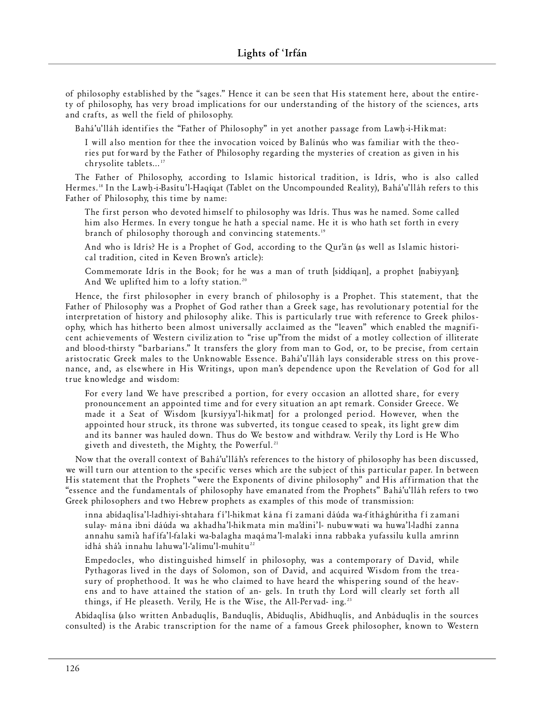of philosophy established by the "sages." Hence it can be seen that His statement here, about the entirety of philosophy, has very broad implications for our understanding of the history of the sciences, arts and crafts, as well the field of philosophy.

Bahá'u'lláh identifies the "Father of Philosophy" in yet another passage from Lawh-i-Hikmat:

I will also mention for thee the invocation voiced by Balínús who was familiar with the theories put forward by the Father of Philosophy regarding the mysteries of creation as given in his chrysolite tablets...<sup>17</sup>

The Father of Philosophy, according to Islamic historical tradition, is Idrís, who is also called Hermes.'<sup>8</sup> In the Lawḥ-i-Basítu'l-Haqíqat (Tablet on the Uncompounded Reality), Bahá'u'lláh refers to this Father of Philosophy, this time by name:

The first person who devoted himself to philosophy was Idrís. Thus was he named. Some called him also Hermes. In every tongue he hath a special name. He it is who hath set forth in every branch of philosophy thorough and convincing statements.<sup>19</sup>

And who is Idrís? He is a Prophet of God, according to the Qur'án (as well as Islamic historical tradition, cited in Keven Brown's article):

Commemorate Idrís in the Book; for he was a man of truth [siddíqan], a prophet [nabiyyan]; And We uplifted him to a lofty station.<sup>20</sup>

Hence, the first philosopher in every branch of philosophy is a Prophet. This statement, that the Father of Philosophy was a Prophet of God rather than a Greek sage, has revolutionary potential for the interpretation of history and philosophy alike. This is particularly true with reference to Greek philosophy, which has hitherto been almost universally acclaimed as the "leaven" which enabled the magnificent achievements of Western civilization to "rise up"from the midst of a motley collection of illiterate and blood-thirsty "barbarians." It transfers the glory from man to God, or, to be precise, from certain aristocratic Greek males to the Unknowable Essence. Bahá'u'lláh lays considerable stress on this provenance, and, as elsewhere in His Writings, upon man's dependence upon the Revelation of God for all true knowledge and wisdom:

For every land We have prescribed a portion, for every occasion an allotted share, for every pronouncement an appointed time and for every situation an apt remark. Consider Greece. We made it a Seat of Wisdom [kursiyya'l-hikmat] for a prolonged period. However, when the appointed hour struck, its throne was subverted, its tongue ceased to speak, its light grew dim and its banner was hauled down. Thus do We bestow and withdraw. Verily thy Lord is He Who giveth and divesteth, the Mighty, the Powerful.<sup>21</sup>

Now that the overall context of Bahá'u'lláh's references to the history of philosophy has been discussed, we will turn our attention to the specific verses which are the subject of this particular paper. In between His statement that the Prophets "were the Exponents of divine philosophy" and His affirmation that the "essence and the fundamentals of philosophy have emanated from the Prophets" Bahá'u'lláh refers to two Greek philosophers and two Hebrew prophets as examples of this mode of transmission:

inna abíd a q lísa' l-l adh iy i-s h tah ara fí ' l-h ikm at kána fí zam ani dáúda wa-fít há g húritha fí zam an i sulay- mána ibni dáúda wa akhadha'l-hikmata min ma'dini'l- nubuw wati wa huwa'l-ladhí zanna annahu sami'a hafífa'l-falaki wa-balagha maqáma'l-malaki inna rabbaka yufassilu kulla amrinn idhá shá'a innahu lahuwa'l-'alímu'l-muhítu<sup>22</sup>

Empedocles, who distinguished himself in philosophy, was a contemporary of David, while Pythagoras lived in the days of Solomon, son of David, and acquired Wisdom from the treasury of prophethood. It was he who claimed to have heard the whispering sound of the heavens and to have attained the station of an- gels. In truth thy Lord will clearly set forth all things, if He pleaseth. Verily, He is the Wise, the All-Pervad- ing.<sup>23</sup>

Abídaglísa (also written Anbaduglís, Banduglís, Abíduglis, Abídhuglís, and Anbáduglis in the sources consulted) is the Arabic transcription for the name of a famous Greek philosopher, known to Western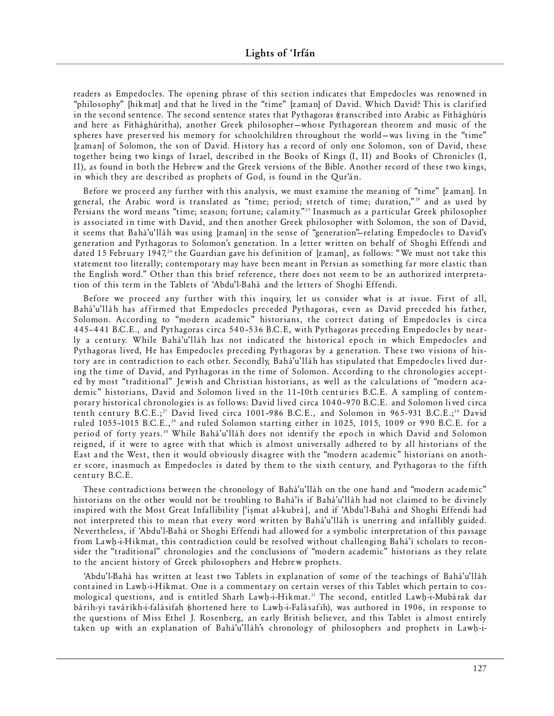readers as Empedocles. The opening phrase of this section indicates that Empedocles was renowned in "philosophy" [hikmat] and that he lived in the "time" [zaman] of David. Which David? This is clarified in the second sentence. The second sentence states that Pythagoras (transcribed into Arabic as Fíthághúris and here as Fíthághúritha), another Greek philosopher—whose Pythagorean theorem and music of the spheres have preserved his memory for schoolchildren throughout the world—was living in the "time" [zaman] of Solomon, the son of David. History has a record of only one Solomon, son of David, these together being two kings of Israel, described in the Books of Kings (I, II) and Books of Chronicles (I, II), as found in both the Hebrew and the Greek versions of the Bible. Another record of these two kings, in which they are described as prophets of God, is found in the Qur'án.

Before we proceed any further with this analysis, we must examine the meaning of "time" [zaman]. In general, the Arabic word is translated as "time; period; stretch of time; duration,"<sup>24</sup> and as used by Persians the word means "time; season; fortune; calamity."<sup>25</sup> Inasmuch as a particular Greek philosopher is associated in time with David, and then another Greek philosopher with Solomon, the son of David, it seems that Bahá'u'lláh was using [zaman] in the sense of "generation"—relating Empedocles to David's generation and Pythagoras to Solomon's generation. In a letter written on behalf of Shoghi Effendi and dated 15 February 1947,<sup>26</sup> the Guardian gave his definition of [zaman], as follows: "We must not take this statement too literally; contemporary may have been meant in Persian as something far more elastic than the English word." Other than this brief reference, there does not seem to be an authorized interpretation of this term in the Tablets of 'Abdu'l-Bahá and the letters of Shoghi Effendi.

Before we proceed any further with this inquiry, let us consider what is at issue. First of all, Bahá'u'lláh has affirmed that Empedocles preceded Pythagoras, even as David preceded his father, Solomon. According to "modern academic" historians, the correct dating of Empedocles is circa 445-441 B.C.E., and Pythagoras circa 540-536 B.C.E, with Pythagoras preceding Empedocles by nearly a century. While Bahá'u'lláh has not indicated the historical epoch in which Empedocles and Pythagoras lived, He has Empedocles preceding Pythagoras by a generation. These two visions of history are in contradiction to each other. Secondly, Bahá'u'lláh has stipulated that Empedocles lived during the time of David, and Pythagoras in the time of Solomon. According to the chronologies accepted by most "traditional" Jewish and Christian historians, as well as the calculations of "modern academic" historians, David and Solomon lived in the 11-10th centuries B.C.E. A sampling of contemporary historical chronologies is as follows: David lived circa 1040-970 B.C.E. and Solomon lived circa tenth century B.C.E.;<sup>27</sup> David lived circa 1001-986 B.C.E., and Solomon in 965-931 B.C.E.;<sup>28</sup> David ruled 1055-1015 B.C.E.,<sup>29</sup> and ruled Solomon starting either in 1025, 1015, 1009 or 990 B.C.E. for a period of forty years.<sup>30</sup> While Bahá'u'lláh does not identify the epoch in which David and Solomon reigned, if it were to agree with that which is almost universally adhered to by all historians of the East and the West, then it would obviously disagree with the "modern academic" historians on another score, inasmuch as Empedocles is dated by them to the sixth century, and Pythagoras to the fifth century B.C.E.

These contradictions between the chronology of Bahá'u'lláh on the one hand and "modern academic" historians on the other would not be troubling to Bahá'ís if Bahá'u'lláh had not claimed to be divinely inspired with the Most Great Infallibility ['iṣmat al-kubrá], and if 'Abdu'l-Bahá and Shoghi Effendi had not interpreted this to mean that every word written by Bahá'u'lláh is unerring and infallibly guided. Nevertheless, if 'Abdu'l-Bahá or Shoghi Effendi had allowed for a symbolic interpretation of this passage from Lawh-i-Hikmat, this contradiction could be resolved without challenging Bahá'í scholars to reconsider the "traditional" chronologies and the conclusions of "modern academic" historians as they relate to the ancient history of Greek philosophers and Hebrew prophets.

'Abdu'l-Bahá has written at least two Tablets in explanation of some of the teachings of Bahá'u'lláh contained in Lawh-i-Hikmat. One is a commentary on certain verses of this Tablet which pertain to cosmological questions, and is entitled Sharh Lawh-i-Hikmat.<sup>31</sup> The second, entitled Lawh-i-Mubárak dar bárih-yi taváríkh-i-falásifah (shortened here to Lawh-i-Falásafih), was authored in 1906, in response to the questions of Miss Ethel J. Rosenberg, an early British believer, and this Tablet is almost entirely taken up with an explanation of Bahá'u'lláh's chronology of philosophers and prophets in Lawh-i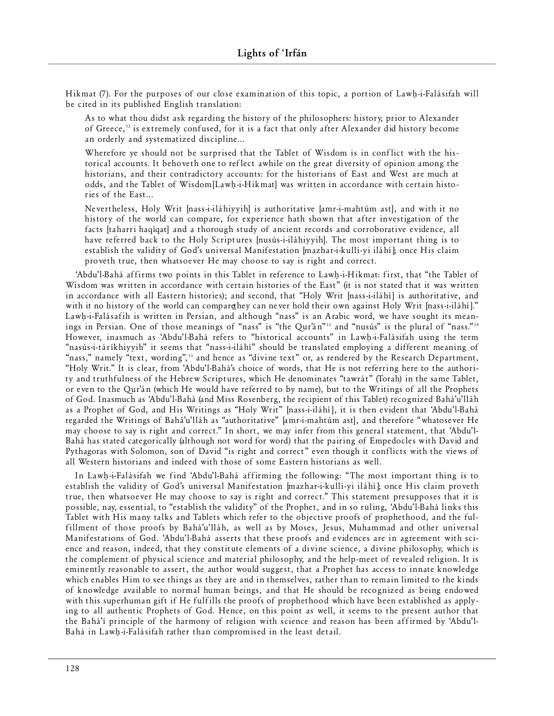Hikmat (7). For the purposes of our close examination of this topic, a portion of Lawh-i-Falásifah will be cited in its published English translation:

As to what thou didst ask regarding the history of the philosophers: history, prior to Alexander of Greece,<sup>32</sup> is extremely confused, for it is a fact that only after Alexander did history become an orderly and systematized discipline...

Wherefore ye should not be surprised that the Tablet of Wisdom is in conflict with the historical accounts. It behoveth one to reflect awhile on the great diversity of opinion among the historians, and their contradictory accounts: for the historians of East and West are much at odds, and the Tablet of Wisdom [Lawh-i-Hikmat] was written in accordance with certain histories of the East...

Nevertheless, Holy Writ [nass-i-iláhiyyih] is authoritative [amr-i-mahtúm ast], and with it no history of the world can compare, for experience hath shown that after investigation of the facts [taharri haqíqat] and a thorough study of ancient records and corroborative evidence, all have referred back to the Holy Scriptures [nusús-i-iláhiyyih]. The most important thing is to establish the validity of God's universal Manifestation [mazhar-i-kullí-vi iláhí]; once His claim proveth true, then whatsoever He may choose to say is right and correct.

'Abdu'l-Bahá affirms two points in this Tablet in reference to Lawh-i-Hikmat: first, that "the Tablet of Wisdom was written in accordance with certain histories of the East" (it is not stated that it was written in accordance with all Eastern histories); and second, that "Holy Writ [nass-i-iláhí] is authoritative, and with it no history of the world can compare they can never hold their own against Holy Writ [nass-i-iláhí]." Lawh-i-Falásafih is written in Persian, and although "nass" is an Arabic word, we have sought its meanings in Persian. One of those meanings of "nass" is "the Qur'án"<sup>33</sup> and "nusús" is the plural of "nass."<sup>34</sup> However, inasmuch as 'Abdu'l-Bahá refers to "historical accounts" in Lawh-i-Falásifah using the term "nasús-i-táríkhiyyih" it seems that "nass-i-iláhí" should be translated employing a different meaning of "nass," namely "text, wording",<sup>33</sup> and hence as "divine text" or, as rendered by the Research Department, "Holy Writ." It is clear, from 'Abdu'l-Bahá's choice of words, that He is not referring here to the authority and truthfulness of the Hebrew Scriptures, which He denominates "tawrát" (Torah) in the same Tablet, or even to the Qur'án (which He would have referred to by name), but to the Writings of all the Prophets of God. Inasmuch as 'Abdu'l-Bahá (and Miss Rosenberg, the recipient of this Tablet) recognized Bahá'u'lláh as a Prophet of God, and His Writings as "Holy Writ" [nass-i-iláhí], it is then evident that 'Abdu'l-Bahá regarded the Writings of Bahá'u'lláh as "authoritative" [amr-i-mahtúm ast], and therefore "whatosever He may choose to say is right and correct." In short, we may infer from this general statement, that 'Abdu'l-Bahá has stated categorically (although not word for word) that the pairing of Empedocles with David and Pythagoras with Solomon, son of David "is right and correct" even though it conflicts with the views of all Western historians and indeed with those of some Eastern historians as well.

In Lawh-i-Falásifah we find 'Abdu'l-Bahá affirming the following: "The most important thing is to establish the validity of God's universal Manifestation [mazhar-i-kullí-yi iláhí]; once His claim proveth true, then whatsoever He may choose to say is right and correct." This statement presupposes that it is possible, nay, essential, to "establish the validity" of the Prophet, and in so ruling, 'Abdu'l-Bahá links this Tablet with His many talks and Tablets which refer to the objective proofs of prophethood, and the fulfillment of those proofs by Bahá'u'lláh, as well as by Moses, Jesus, Muhammad and other universal Manifestations of God. 'Abdu'l-Bahá asserts that these proofs and evidences are in agreement with science and reason, indeed, that they constitute elements of a divine science, a divine philosophy, which is the complement of physical science and material philosophy, and the help-meet of revealed religion. It is eminently reasonable to assert, the author would suggest, that a Prophet has access to innate knowledge which enables Him to see things as they are and in themselves, rather than to remain limited to the kinds of knowledge available to normal human beings, and that He should be recognized as being endowed with this superhuman gift if He fulfills the proofs of prophethood which have been established as applying to all authentic Prophets of God. Hence, on this point as well, it seems to the present author that the Bahá'í principle of the harmony of religion with science and reason has been affirmed by 'Abdu'l-Bahá in Lawh-i-Falásifah rather than compromised in the least detail.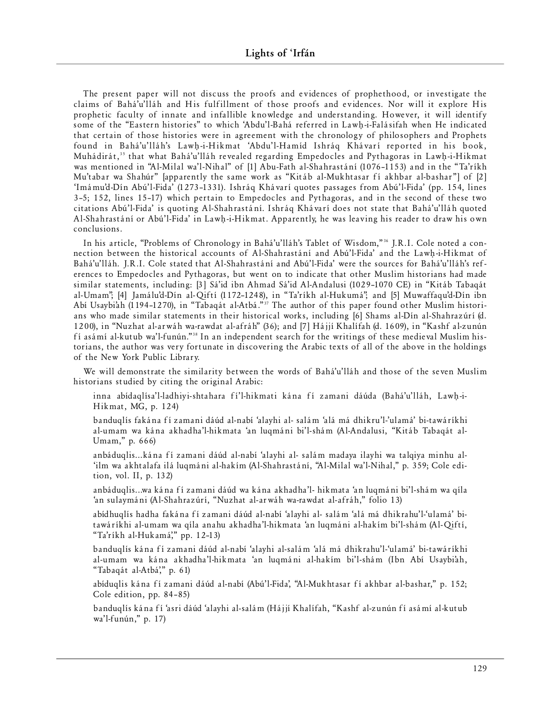The present paper will not discuss the proofs and evidences of prophethood, or investigate the claims of Bahá'u'lláh and His fulfillment of those proofs and evidences. Nor will it explore His prophetic faculty of innate and infallible knowledge and understanding. However, it will identify some of the "Eastern histories" to which 'Abdu'l-Bahá referred in Lawh-i-Falásifah when He indicated that certain of those histories were in agreement with the chronology of philosophers and Prophets found in Bahá'u'lláh's Lawh-i-Hikmat 'Abdu'l-Hamíd Ishráq Khávarí reported in his book, Muhádirát,<sup>35</sup> that what Bahá'u'lláh revealed regarding Empedocles and Pythagoras in Lawh-i-Hikmat was mentioned in "Al-Milal wa'l-Nihal" of [1] Abu-Fath al-Shahrastání (1076–1153) and in the "Ta'ríkh Mu'tabar wa Shahúr" [apparently the same work as "Kitáb al-Mukhtasar fí akhbar al-bashar"] of [2] 'Imámu'd-Dín Abú'l-Fida' (1273-1331). Ishráq Khávarí quotes passages from Abú'l-Fida' (pp. 154, lines 3-5; 152, lines 15-17) which pertain to Empedocles and Pythagoras, and in the second of these two citations Abú'l-Fida' is quoting Al-Shahrastání. Ishráq Khávarí does not state that Bahá'u'lláh quoted Al-Shahrastání or Abú'l-Fida' in Lawh-i-Hikmat. Apparently, he was leaving his reader to draw his own conclusions.

In his article, "Problems of Chronology in Bahá'u'lláh's Tablet of Wisdom,"<sup>36</sup> J.R.I. Cole noted a connection between the historical accounts of Al-Shahrastání and Abú'l-Fida' and the Lawh-i-Hikmat of Bahá'u'lláh. J.R.I. Cole stated that Al-Shahrastání and Abú'l-Fida' were the sources for Bahá'u'lláh's references to Empedocles and Pythagoras, but went on to indicate that other Muslim historians had made similar statements, including: [3] Sá'id ibn Ahmad Sá'id Al-Andalusi (1029-1070 CE) in "Kitáb Tabaqát al-Umam"; [4] Jamálu'd-Dín al-Qiftí (1172-1248), in "Ta'ríkh al-Hukumá"; and [5] Muwaffaqu'd-Dín ibn Abí Usaybiah (1194-1270), in "Tabaqát al-Atbá."<sup>37</sup> The author of this paper found other Muslim historians who made similar statements in their historical works, including [6] Shams al-Dín al-Shahrazúrí (d. 1200), in "Nuzhat al-arwáh wa-rawdat al-afráh" (36); and [7] Hájjí Khalífah (d. 1609), in "Kashf al-zunún fí asámí al-kutub wa'l-funún."38 In an independent search for the writings of these medieval Muslim historians, the author was very fortunate in discovering the Arabic texts of all of the above in the holdings of the New York Public Library.

We will demonstrate the similarity between the words of Bahá'u'lláh and those of the seven Muslim historians studied by citing the original Arabic:

inna abídaqlísa'l-ladhiyi-shtahara fí'l-hikmati kána fí zamani dáúda (Bahá'u'lláh, Lawh-i-Hikmat, MG, p. 124)

banduqlís fakána fí zamani dáúd al-nabí 'alayhi al- salám 'alá má dhikru'l-'ulamá' bi-tawáríkhi al-umam wa kána akhadha'l-hikmata 'an luqmáni bi'l-shám (Al-Andalusi, "Kitáb Tabaqát al-Umam," p. 666)

anbáduq lis... kána fí zamani dáúd al-nabí 'alayhi al- salám madaya ilayhi wa talqiya minhu al-'ilm wa akhtalafa ilá luqmáni al-hakím (Al-Shahrastání, "Al-Milal wa'l-Nihal," p. 359; Cole edition, vol. II, p. 132)

anbáduqlis...wa kána fí zamani dáúd wa kána akhadha'l- hikmata 'an luqmáni bi'l-shám wa qíla 'an sulaymáni (Al-Shahrazúrí, "Nuzhat al-arwáh wa-rawdat al-afráh," folio 13)

abídhuglís hadha fakána fí zamani dáúd al-nabí 'alayhi al- salám 'alá má dhikrahu'l-'ulamá' bitawáríkhi al-umam wa qíla anahu akhadha'l-hikmata 'an luqmáni al-hakím bi'l-shám (Al-Qiftí, "Ta'ríkh al-Huk am á'," pp. 12–13)

banduglís kána fí zamani dáúd al-nabí 'alayhi al-salám 'alá má dhikrahu' l-'ulamá' bi-tawáríkhi al-umam wa kána akhadha'l-hikmata 'an luqmáni al-hakím bi'l-shám (Ibn Abí Usaybi'ah, "Tabaqát al-Atbá'," p. 61)

abíduglis kána fí zamani dáúd al-nabí (Abú'l-Fida', "Al-Mukhtasar fí akhbar al-bashar," p. 152; Cole edition, pp. 84-85)

banduqlís kána fí 'asri dáúd 'alayhi al-salám (Hájjí Khalífah, "Kashf al-zunún fí asámí al-kutub wa'l-funún," p. 17)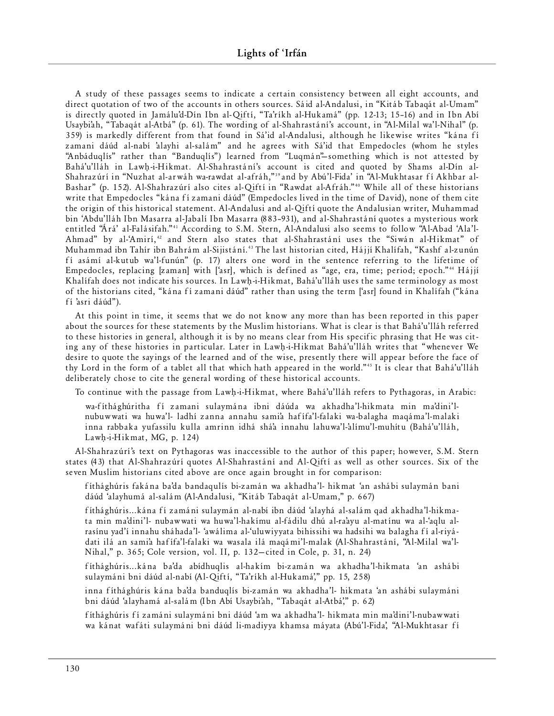A study of these passages seems to indicate a certain consistency between all eight accounts, and direct quotation of two of the accounts in others sources. Sáid al-Andalusi, in "Kitáb Tabaqát al-Umam" is directly quoted in Jamálu'd-Dín Ibn al-Qiftí, "Ta'ríkh al-Hukamá" (pp. 12-13; 15-16) and in Ibn Abí Usaybi'ah, "Tabaqát al-Atbá" (p. 61). The wording of al-Shahrastání's account, in "Al-Milal wa'l-Nihal" (p. 359) is markedly different from that found in Sá'id al-Andalusi, although he likewise writes "kána fí zamani dáúd al-nabí 'alayhi al-salám" and he agrees with Sá'id that Empedocles (whom he styles "Anbáduqlís" rather than "Banduqlís") learned from "Luqmán"-something which is not attested by Bahá'u'lláh in Lawh-i-Hikmat. Al-Shahrastání's account is cited and quoted by Shams al-Dín al-Shahrazúrí in "Nuzhat al-arwáh wa-rawdat al-afráh,"<sup>39</sup> and by Abú'l-Fida' in "Al-Mukhtasar fí Akhbar al-Bashar" (p. 152). Al-Shahrazúrí also cites al-Qiftí in "Rawdat al-Afráh."<sup>40</sup> While all of these historians write that Empedocles "kána fí zamani dáúd" (Empedocles lived in the time of David), none of them cite the origin of this historical statement. Al-Andalusi and al-Qiftí quote the Andalusian writer, Muhammad bin 'Abdu'lláh Ibn Masarra al-Jabalí Ibn Masarra (883-931), and al-Shahrastání quotes a mysterious work entitled "Árá' al-Falásifah."<sup>41</sup> According to S.M. Stern, Al-Andalusi also seems to follow "Al-Abad 'Ala'l-Ahmad" by al-'Amirí,<sup>42</sup> and Stern also states that al-Shahrastání uses the "Siwán al-Hikmat" of Muhammad ibn Tahír ibn Bahrám al-Sijistání.<sup>43</sup> The last historian cited, Hájjí Khalífah, "Kashf al-zunún fí asámí al-kutub wa'l-funún" (p. 17) alters one word in the sentence referring to the lifetime of Empedocles, replacing [zaman] with ['asr], which is defined as "age, era, time; period; epoch."<sup>44</sup> Hájjí K halífah does not indicate his sources. In Lawh-i-Hikmat, Bahá'u'lláh uses the same terminology as most of the historians cited, "kána fí zamani dáúd" rather than using the term ['asr] found in Khalífah ("kána fí 'asri dáúd").

At this point in time, it seems that we do not know any more than has been reported in this paper about the sources for these statements by the Muslim historians. What is clear is that Bahá'u'lláh referred to these histories in general, although it is by no means clear from His specific phrasing that He was citing any of these histories in particular. Later in Lawh-i-Hikmat Bahá'u'lláh writes that "whenever We desire to quote the sayings of the learned and of the wise, presently there will appear before the face of thy Lord in the form of a tablet all that which hath appeared in the world."<sup>45</sup> It is clear that Bahá'u'lláh deliberately chose to cite the general wording of these historical accounts.

To continue with the passage from Lawh-i-Hikmat, where Bahá'u'lláh refers to Pythagoras, in Arabic:

wa-fíthághúritha fí zamani sulaymána ibni dáúda wa akhadha'l-hikmata min ma'dini'lnubuwwati wa huwa'l- ladhí zanna annahu sami'a hafífa'l-falaki wa-balagha maqáma'l-malaki inna rabbaka yufassilu kulla amrinn idhá shá'a innahu lahuwa'l-'alímu' l-muhítu (Bahá'u' lláh, Lawh-i-Hikmat, MG, p.  $124$ )

Al-Shahrazúrí's text on Pythagoras was inaccessible to the author of this paper; however, S.M. Stern states (43) that Al-Shahrazúrí quotes Al-Shahrastání and Al-Qiftí as well as other sources. Six of the seven Muslim historians cited above are once again brought in for comparison:

fíthághúris fakána ba'da bandaqulís bi-zamán wa akhadha'l- hikmat 'an ashábi sulaymán bani dáúd 'alayhumá al-salám (Al-Andalusi, "Kitáb Tabaqát al-Umam," p. 667)

fíthághúris... kána fí zamáni sulaymán al-nabí ibn dáúd 'alayhá al-salám gad akhadha'l-hikmata min ma'dini'l- nubawwati wa huwa'l-hakímu al-fádilu dhú al-ra'ayu al-matínu wa al-'aqlu alrasínu yad'í innahu sháhada'l- 'awálima al-'uluwiyyata bihissihi wa hadsihi wa balagha fí al-riyádati ilá an sami'a hafífa'l-falaki wa wasala ilá maqámi'l-malak (Al-Shahrastání, "Al-Milal wa'l-Nihal," p. 365; Cole version, vol. II, p. 132-cited in Cole, p. 31, n. 24)

fíthághúris... kána ba'da abídhuqlis al-hakím bi-zamán wa akhadha'l-hikmata 'an ashábi sulaymáni bni dáúd al-nabí (Al-Qiftí, "Ta'ríkh al-Hukamá'," pp. 15, 258)

inna fíthághúris kána ba'da banduqlís bi-zamán wa akhadha'l- hikmata 'an ashábi sulaymáni bni dáúd 'alayhamá al-salám (Ibn Abí Usaybi'ah, "Tabaqát al-Atbá'," p. 62)

fíthághúris fí zamáni sulaymáni bni dáúd 'am wa akhadha'l- hikmata min ma'dini'l-nubawwati wa kánat wafáti sulaymáni bni dáúd li-madiyya khamsa máyata (Abú'l-Fida', "Al-Mukhtasar fí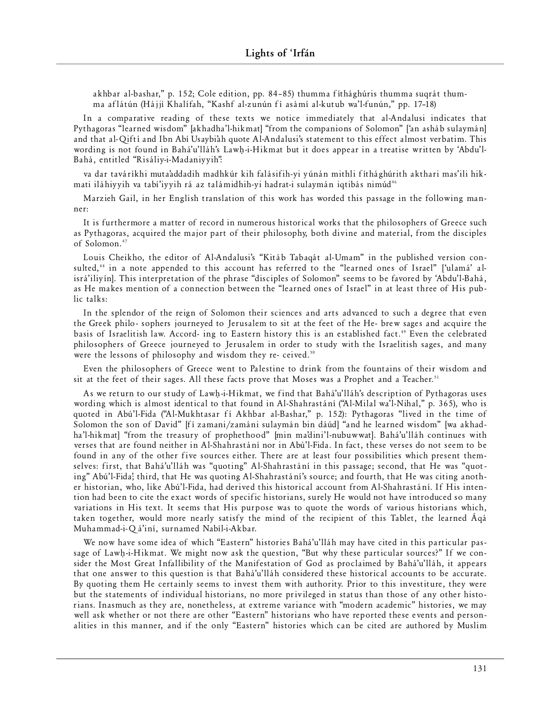akhbar al-bashar," p. 152; Cole edition, pp. 84-85) thumma fíthághúris thumma suqrát thumma aflátún (Hájjí Khalífah, "Kashf al-zunún fí asámí al-kutub wa'l-funún," pp. 17-18)

In a comparative reading of these texts we notice immediately that al-Andalusi indicates that Pythagoras "learned wisdom" [akhadha'l-hikmat] "from the companions of Solomon" ['an asháb sulaymán] and that al-Qiftí and Ibn Abí Usaybiah quote Al-Andalusi's statement to this effect almost verbatim. This wording is not found in Bahá'u'lláh's Lawh-i-Hikmat but it does appear in a treatise written by 'Abdu'l-Bahá, entitled "Risáliy-i-Madaniyyih":

va dar taváríkhi muta'addadih madhkúr kih falásifih-yi yúnán mithli fíthághúrith akthari mas'ili hikmati iláhiyyih va tabí'iyyih rá az talámidhih-yi hadrat-i sulaymán iqtibás nimúd<sup>46</sup>

Marzieh Gail, in her English translation of this work has worded this passage in the following manner:

It is furthermore a matter of record in numerous historical works that the philosophers of Greece such as Pythagoras, acquired the major part of their philosophy, both divine and material, from the disciples of Solomon.<sup>47</sup>

Louis Cheikho, the editor of Al-Andalusi's "Kitáb Tabaqát al-Umam" in the published version consulted,<sup>48</sup> in a note appended to this account has referred to the "learned ones of Israel" ['ulamá' alisrá'iliyín]. This interpretation of the phrase "disciples of Solomon" seems to be favored by 'Abdu'l-Bahá, as He makes mention of a connection between the "learned ones of Israel" in at least three of His public talks:

In the splendor of the reign of Solomon their sciences and arts advanced to such a degree that even the Greek philo- sophers journeyed to Jerusalem to sit at the feet of the He- brew sages and acquire the basis of Israelitish law. Accord- ing to Eastern history this is an established fact.<sup>49</sup> Even the celebrated philosophers of Greece journeyed to Jerusalem in order to study with the Israelitish sages, and many were the lessons of philosophy and wisdom they re- ceived.<sup>50</sup>

Even the philosophers of Greece went to Palestine to drink from the fountains of their wisdom and sit at the feet of their sages. All these facts prove that Moses was a Prophet and a Teacher.<sup>51</sup>

As we return to our study of Lawh-i-Hikmat, we find that Bahá'u'lláh's description of Pythagoras uses wording which is almost identical to that found in Al-Shahrastání ("Al-Milal wa'l-Nihal," p. 365), who is quoted in Abú'l-Fida ("Al-Mukhtasar fí Akhbar al-Bashar," p. 152): Pythagoras "lived in the time of Solomon the son of David" [fí zamani/zamáni sulaymán bin dáúd] "and he learned wisdom" [wa akhadha'l-hikmat] "from the treasury of prophethood" [min ma'dini'l-nubuwwat]. Bahá'u'lláh continues with verses that are found neither in Al-Shahrastání nor in Abú'l-Fida. In fact, these verses do not seem to be found in any of the other five sources either. There are at least four possibilities which present themselves: first, that Bahá'u'lláh was "quoting" Al-Shahrastání in this passage; second, that He was "quoting" Abú'l-Fida; third, that He was quoting Al-Shahrastání's source; and fourth, that He was citing another historian, who, like Abú'l-Fida, had derived this historical account from Al-Shahrastání. If His intention had been to cite the exact words of specific historians, surely He would not have introduced so many variations in His text. It seems that His purpose was to quote the words of various historians which, taken together, would more nearly satisfy the mind of the recipient of this Tablet, the learned Áqá Muhammad-i-Qá'iní, surnamed Nabíl-i-Akbar.

We now have some idea of which "Eastern" histories Bahá'u'lláh may have cited in this particular passage of Lawh-i-Hikmat. We might now ask the question, "But why these particular sources?" If we consider the Most Great Infallibility of the Manifestation of God as proclaimed by Bahá'u'lláh, it appears that one answer to this question is that Bahá'u'lláh considered these historical accounts to be accurate. By quoting them He certainly seems to invest them with authority. Prior to this investiture, they were but the statements of individual historians, no more privileged in status than those of any other historians. Inasmuch as they are, nonetheless, at extreme variance with "modern academic" histories, we may well ask whether or not there are other "Eastern" historians who have reported these events and personalities in this manner, and if the only "Eastern" histories which can be cited are authored by Muslim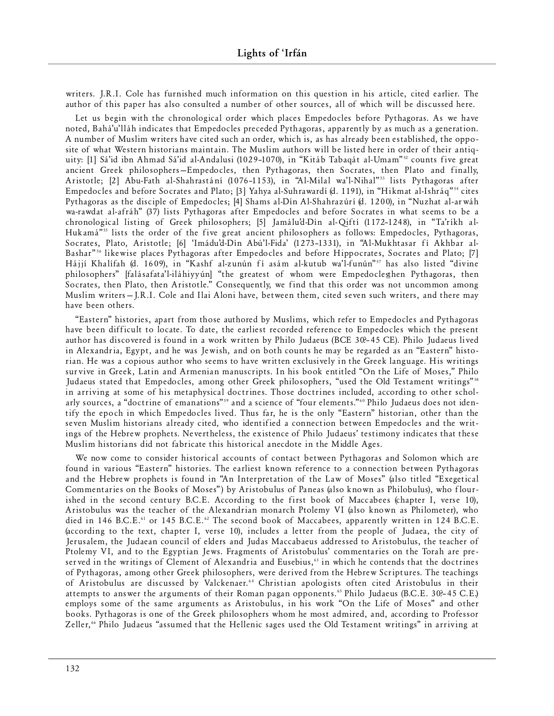writers. J.R.I. Cole has furnished much information on this question in his article, cited earlier. The author of this paper has also consulted a number of other sources, all of which will be discussed here.

Let us begin with the chronological order which places Empedocles before Pythagoras. As we have noted, Bahá'u'lláh indicates that Empedocles preceded Pythagoras, apparently by as much as a generation. A number of Muslim writers have cited such an order, which is, as has already been established, the opposite of what Western historians maintain. The Muslim authors will be listed here in order of their antiquity: [1] Sá'id ibn Ahmad Sá'id al-Andalusi (1029-1070), in "Kitáb Tabagát al-Umam"<sup>52</sup> counts five great ancient Greek philosophers–Empedocles, then Pythagoras, then Socrates, then Plato and finally, Aristotle; [2] Abu-Fath al-Shahrastání (1076-1153), in "Al-Milal wa'l-Nihal"<sup>53</sup> lists Pythagoras after Empedocles and before Socrates and Plato; [3] Yahya al-Suhrawardí (d. 1191), in "Hikmat al-Ishráq"<sup>54</sup> cites Pythagoras as the disciple of Empedocles; [4] Shams al-Dín Al-Shahrazúrí (d. 1200), in "Nuzhat al-arwáh wa-rawdat al-afráh" (37) lists Pythagoras after Empedocles and before Socrates in what seems to be a chronological listing of Greek philosophers; [5] Jamálu'd-Dín al-Qiftí (1172-1248), in "Ta'ríkh al-Hukamá"<sup>55</sup> lists the order of the five great ancient philosophers as follows: Empedocles, Pythagoras, Socrates, Plato, Aristotle; [6] 'Imádu'd-Dín Abú'l-Fida' (1273-1331), in "Al-Mukhtasar fí Akhbar al-Bashar"<sup>56</sup> likewise places Pythagoras after Empedocles and before Hippocrates, Socrates and Plato; [7] Hájjí Khalífah (d. 1609), in "Kashf al-zunún fí asám al-kutub wa'l-funún"57 has also listed "divine philosophers" [falásafata'l-iláhiyyún] "the greatest of whom were Empedoclesthen Pythagoras, then Socrates, then Plato, then Aristotle." Consequently, we find that this order was not uncommon among Muslim writers - J.R.I. Cole and Ilai Aloni have, between them, cited seven such writers, and there may have been others.

"Eastern" histories, apart from those authored by Muslims, which refer to Empedocles and Pythagoras have been difficult to locate. To date, the earliest recorded reference to Empedocles which the present author has discovered is found in a work written by Philo Judaeus (BCE 30?–45 CE). Philo Judaeus lived in Alexandria, Egypt, and he was Jewish, and on both counts he may be regarded as an "Eastern" historian. He was a copious author who seems to have written exclusively in the Greek language. His writings survive in Greek, Latin and Armenian manuscripts. In his book entitled "On the Life of Moses," Philo Judaeus stated that Empedocles, among other Greek philosophers, "used the Old Testament writings"<sup>58</sup> in arriving at some of his metaphysical doctrines. Those doctrines included, according to other scholarly sources, a "doctrine of emanations"<sup>59</sup> and a science of "four elements."<sup>60</sup> Philo Judaeus does not identify the epoch in which Empedocles lived. Thus far, he is the only "Eastern" historian, other than the seven Muslim historians already cited, who identified a connection between Empedocles and the writings of the Hebrew prophets. Nevertheless, the existence of Philo Judaeus' testimony indicates that these Muslim historians did not fabricate this historical anecdote in the Middle Ages.

We now come to consider historical accounts of contact between Pythagoras and Solomon which are found in various "Eastern" histories. The earliest known reference to a connection between Pythagoras and the Hebrew prophets is found in "An Interpretation of the Law of Moses" (also titled "Exegetical Commentaries on the Books of Moses") by Aristobulus of Paneas (also known as Philobulus), who flourished in the second century B.C.E. According to the first book of Maccabees (chapter I, verse 10), Aristobulus was the teacher of the Alexandrian monarch Ptolemy VI (also known as Philometer), who died in 146 B.C.E.<sup>61</sup> or 145 B.C.E.<sup>62</sup> The second book of Maccabees, apparently written in 124 B.C.E. (according to the text, chapter I, verse 10), includes a letter from the people of Judaea, the city of Jerusalem, the Judaean council of elders and Judas Maccabaeus addressed to Aristobulus, the teacher of Ptolemy VI, and to the Egyptian Jews. Fragments of Aristobulus' commentaries on the Torah are preserved in the writings of Clement of Alexandria and Eusebius,<sup>63</sup> in which he contends that the doctrines of Pythagoras, among other Greek philosophers, were derived from the Hebrew Scriptures. The teachings of Aristobulus are discussed by Valckenaer.<sup>64</sup> Christian apologists often cited Aristobulus in their at tempts to answer the arguments of their Roman pagan opponents.<sup>65</sup> Philo Judaeus (B.C.E. 30?-45 C.E.) employs some of the same arguments as Aristobulus, in his work "On the Life of Moses" and other books. Pythagoras is one of the Greek philosophers whom he most admired, and, according to Professor Zeller," Philo Judaeus "assumed that the Hellenic sages used the Old Testament writings" in arriving at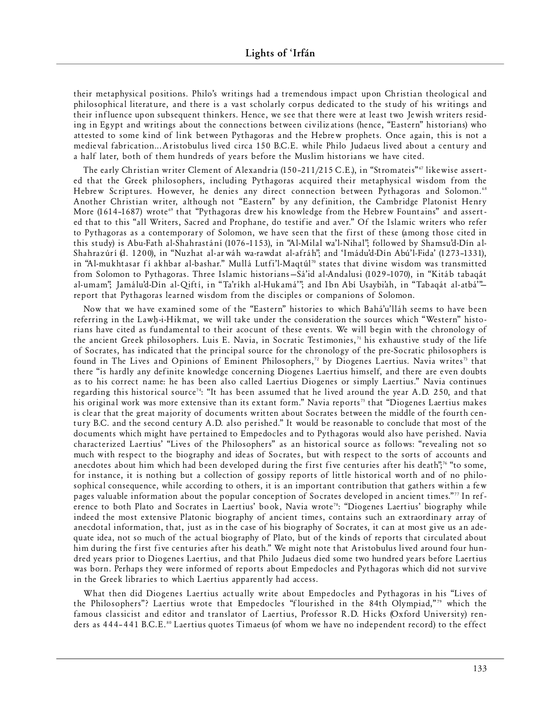their metaphysical positions. Philo's writings had a tremendous impact upon Christian theological and philosophical literature, and there is a vast scholarly corpus dedicated to the study of his writings and their influence upon subsequent thinkers. Hence, we see that there were at least two Jewish writers residing in Egypt and writings about the connections between civilizations (hence, "Eastern" historians) who attested to some kind of link between Pythagoras and the Hebrew prophets. Once again, this is not a medieval fabrication...Aristobulus lived circa 150 B.C.E. while Philo Judaeus lived about a century and a half later, both of them hundreds of years before the Muslim historians we have cited.

The early Christian writer Clement of Alexandria (150-211/215 C.E.), in "Stromateis"<sup>67</sup> likewise asserted that the Greek philosophers, including Pythagoras acquired their metaphysical wisdom from the Hebrew Scriptures. However, he denies any direct connection between Pythagoras and Solomon.<sup>68</sup> Another Christian writer, although not "Eastern" by any definition, the Cambridge Platonist Henry More (1614–1687) wrote<sup>69</sup> that "Pythagoras drew his knowledge from the Hebrew Fountains" and asserted that to this "all Writers, Sacred and Prophane, do testifie and aver." Of the Islamic writers who refer to Pythagoras as a contemporary of Solomon, we have seen that the first of these (among those cited in this study) is Abu-Fath al-Shahrastání (1076–1153), in "Al-Milal wa'l-Nihal"; followed by Shamsu'd-Dín al-Shahrazúrí (d. 1200), in "Nuzhat al-arwáh wa-rawdat al-afráh"; and 'Imádu'd-Dín Abú'l-Fida' (1273-1331), in "Al-mukhtasar fí akhbar al-bashar." Mullá Lutfi'l-Maqtúl<sup>70</sup> states that divine wisdom was transmitted from Solomon to Pythagoras. Three Islamic historians–Sá'id al-Andalusi (1029-1070), in "Kitáb tabaqát al-umam"; Jamálu'd-Dín al-Qiftí, in "Ta'ríkh al-Hukamá'"; and Ibn Abí Usaybi'ah, in "Tabaqát al-atbá'''report that Pythagoras learned wisdom from the disciples or companions of Solomon.

Now that we have examined some of the "Eastern" histories to which Bahá'u'lláh seems to have been referring in the Lawh-i-Hikmat, we will take under the consideration the sources which "Western" historians have cited as fundamental to their acocunt of these events. We will begin with the chronology of the ancient Greek philosophers. Luis E. Navia, in Socratic Testimonies,<sup>71</sup> his exhaustive study of the life of Socrates, has indicated that the principal source for the chronology of the pre-Socratic philosophers is found in The Lives and Opinions of Eminent Philosophers,<sup>72</sup> by Diogenes Laertius. Navia writes<sup>73</sup> that there "is hardly any definite knowledge concerning Diogenes Laertius himself, and there are even doubts as to his correct name: he has been also called Laertius Diogenes or simply Laertius." Navia continues regarding this historical source<sup>74</sup>: "It has been assumed that he lived around the year A.D. 250, and that his original work was more extensive than its extant form." Navia reports<sup>75</sup> that "Diogenes Laertius makes is clear that the great majority of documents written about Socrates between the middle of the fourth century B.C. and the second century A.D. also perished." It would be reasonable to conclude that most of the documents which might have pertained to Empedocles and to Pythagoras would also have perished. Navia characterized Laertius' "Lives of the Philosophers" as an historical source as follows: "revealing not so much with respect to the biography and ideas of Socrates, but with respect to the sorts of accounts and anecdotes about him which had been developed during the first five centuries after his death";<sup>76</sup> "to some, for instance, it is nothing but a collection of gossipy reports of little historical worth and of no philosophical consequence, while according to others, it is an important contribution that gathers within a few pages valuable information about the popular conception of Socrates developed in ancient times."<sup>77</sup> In reference to both Plato and Socrates in Laertius' book, Navia wrote<sup>78</sup>: "Diogenes Laertius' biography while indeed the most extensive Platonic biography of ancient times, contains such an extraordinary array of anecdotal information, that, just as in the case of his biography of Socrates, it can at most give us an adequate idea, not so much of the actual biography of Plato, but of the kinds of reports that circulated about him during the first five centuries after his death." We might note that Aristobulus lived around four hundred years prior to Diogenes Laertius, and that Philo Judaeus died some two hundred years before Laertius was born. Perhaps they were informed of reports about Empedocles and Pythagoras which did not survive in the Greek libraries to which Laertius apparently had access.

What then did Diogenes Laertius actually write about Empedocles and Pythagoras in his "Lives of the Philosophers"? Laertius wrote that Empedocles "flourished in the 84th Olympiad,"<sup>79</sup> which the famous classicist and editor and translator of Laertius, Professor R.D. Hicks (Oxford University) renders as 444–441 B.C.E.<sup>80</sup> Laertius quotes Timaeus (of whom we have no independent record) to the effect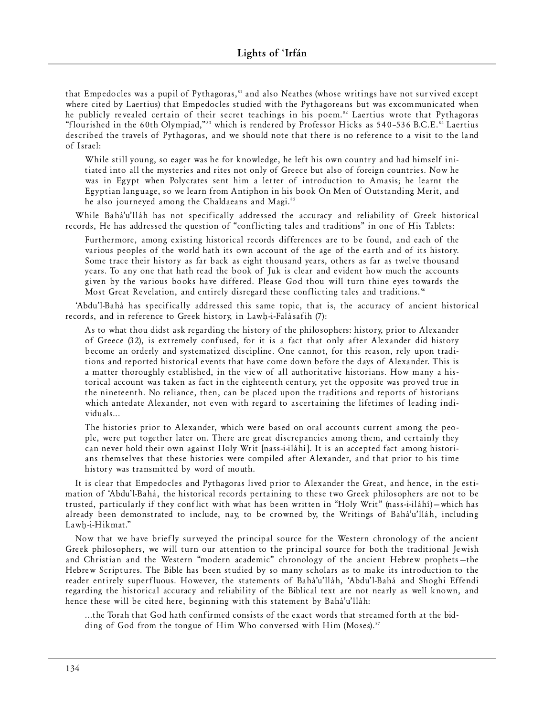that Empedocles was a pupil of Pythagoras,<sup>81</sup> and also Neathes (whose writings have not survived except where cited by Laertius) that Empedocles studied with the Pythagoreans but was excommunicated when he publicly revealed certain of their secret teachings in his poem.<sup>82</sup> Laertius wrote that Pythagoras "flourished in the 60th Olympiad,"<sup>83</sup> which is rendered by Professor Hicks as 540-536 B.C.E.<sup>84</sup> Laertius described the travels of Pythagoras, and we should note that there is no reference to a visit to the land of Israel:

While still young, so eager was he for knowledge, he left his own country and had himself initiated into all the mysteries and rites not only of Greece but also of foreign countries. Now he was in Egypt when Polycrates sent him a letter of introduction to Amasis; he learnt the Egyptian language, so we learn from Antiphon in his book On Men of Outstanding Merit, and he also journeyed among the Chaldaeans and Magi.<sup>85</sup>

While Bahá'u'lláh has not specifically addressed the accuracy and reliability of Greek historical records, He has addressed the question of "conflicting tales and traditions" in one of His Tablets:

Furthermore, among existing historical records differences are to be found, and each of the various peoples of the world hath its own account of the age of the earth and of its history. Some trace their history as far back as eight thousand years, others as far as twelve thousand years. To any one that hath read the book of Juk is clear and evident how much the accounts given by the various books have differed. Please God thou will turn thine eyes towards the Most Great Revelation, and entirely disregard these conflicting tales and traditions.<sup>86</sup>

'Abdu'l-Bahá has specifically addressed this same topic, that is, the accuracy of ancient historical records, and in reference to Greek history, in Lawh-i-Falásafih (7):

As to what thou didst ask regarding the history of the philosophers: history, prior to Alexander of Greece (32), is extremely confused, for it is a fact that only after Alexander did history become an orderly and systematized discipline. One cannot, for this reason, rely upon traditions and reported historical events that have come down before the days of Alexander. This is a matter thoroughly established, in the view of all authoritative historians. How many a historical account was taken as fact in the eighteenth century, yet the opposite was proved true in the nineteenth. No reliance, then, can be placed upon the traditions and reports of historians which antedate Alexander, not even with regard to ascertaining the lifetimes of leading individuals...

The histories prior to Alexander, which were based on oral accounts current among the people, were put together later on. There are great discrepancies among them, and certainly they can never hold their own against Holy Writ [nass-i-iláhí]. It is an accepted fact among historians themselves that these histories were compiled after Alexander, and that prior to his time history was transmitted by word of mouth.

It is clear that Empedocles and Pythagoras lived prior to Alexander the Great, and hence, in the estimation of 'Abdu'l-Bahá, the historical records pertaining to these two Greek philosophers are not to be trusted, particularly if they conflict with what has been written in "Holy Writ" (nass-i-iláhí) – which has already been demonstrated to include, nay, to be crowned by, the Writings of Bahá'u'lláh, including Lawh-i-Hikmat."

Now that we have briefly surveyed the principal source for the Western chronology of the ancient Greek philosophers, we will turn our attention to the principal source for both the traditional Jewish and Christian and the Western "modern academic" chronology of the ancient Hebrew prophets-the Hebrew Scriptures. The Bible has been studied by so many scholars as to make its introduction to the reader entirely superfluous. However, the statements of Bahá'u'lláh, 'Abdu'l-Bahá and Shoghi Effendi regarding the historical accuracy and reliability of the Biblical text are not nearly as well known, and hence these will be cited here, beginning with this statement by Bahá'u'lláh:

...the Torah that God hath confirmed consists of the exact words that streamed forth at the bidding of God from the tongue of Him Who conversed with Him (Moses).<sup>87</sup>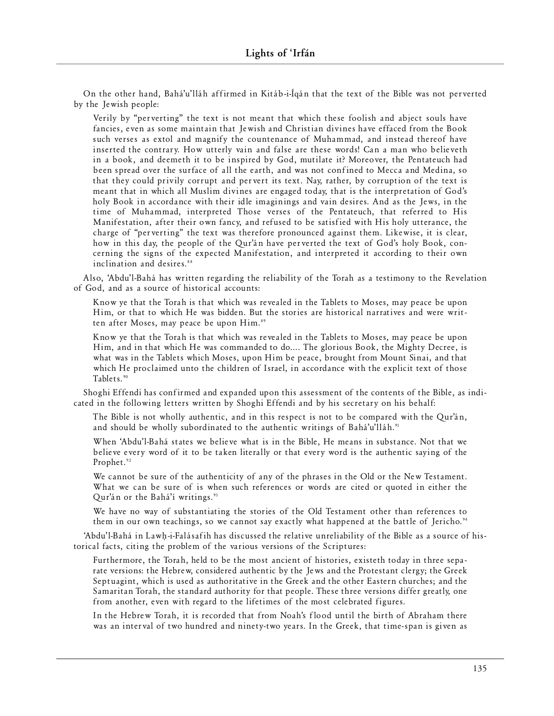On the other hand, Bahá'u'lláh affirmed in Kitáb-i-Íqán that the text of the Bible was not perverted by the Jewish people:

Verily by "perverting" the text is not meant that which these foolish and abject souls have fancies, even as some maintain that Jewish and Christian divines have effaced from the Book such verses as extol and magnify the countenance of Muhammad, and instead thereof have inserted the contrary. How utterly vain and false are these words! Can a man who believeth in a book, and deemeth it to be inspired by God, mutilate it? Moreover, the Pentateuch had been spread over the surface of all the earth, and was not confined to Mecca and Medina, so that they could privily corrupt and pervert its text. Nay, rather, by corruption of the text is meant that in which all Muslim divines are engaged today, that is the interpretation of God's holy Book in accordance with their idle imaginings and vain desires. And as the Jews, in the time of Muhammad, interpreted Those verses of the Pentateuch, that referred to His Manifestation, after their own fancy, and refused to be satisfied with His holy utterance, the charge of "perverting" the text was therefore pronounced against them. Likewise, it is clear, how in this day, the people of the Qur'an have perverted the text of God's holy Book, concerning the signs of the expected Manifestation, and interpreted it according to their own inclination and desires.<sup>88</sup>

Also, 'Abdu'l-Bahá has written regarding the reliability of the Torah as a testimony to the Revelation of God, and as a source of historical accounts:

Know ye that the Torah is that which was revealed in the Tablets to Moses, may peace be upon Him, or that to which He was bidden. But the stories are historical narratives and were written after Moses, may peace be upon Him.<sup>89</sup>

Know ye that the Torah is that which was revealed in the Tablets to Moses, may peace be upon Him, and in that which He was commanded to do.... The glorious Book, the Mighty Decree, is what was in the Tablets which Moses, upon Him be peace, brought from Mount Sinai, and that which He proclaimed unto the children of Israel, in accordance with the explicit text of those Tablets.<sup>90</sup>

Shoghi Effendi has confirmed and expanded upon this assessment of the contents of the Bible, as indicated in the following letters written by Shoghi Effendi and by his secretary on his behalf:

The Bible is not wholly authentic, and in this respect is not to be compared with the Qur'án, and should be wholly subordinated to the authentic writings of Bahá'u'lláh.<sup>91</sup>

When 'Abdu'l-Bahá states we believe what is in the Bible, He means in substance. Not that we believe every word of it to be taken literally or that every word is the authentic saying of the Prophet.<sup>92</sup>

We cannot be sure of the authenticity of any of the phrases in the Old or the New Testament. What we can be sure of is when such references or words are cited or quoted in either the Qur'án or the Bahá'í writings.<sup>93</sup>

We have no way of substantiating the stories of the Old Testament other than references to them in our own teachings, so we cannot say exactly what happened at the battle of Jericho.<sup>94</sup>

'Abdu'l-Bahá in Lawh-i-Falásafih has discussed the relative unreliability of the Bible as a source of historical facts, citing the problem of the various versions of the Scriptures:

Furthermore, the Torah, held to be the most ancient of histories, existeth today in three separate versions: the Hebrew, considered authentic by the Jews and the Protestant clergy; the Greek Septuagint, which is used as authoritative in the Greek and the other Eastern churches; and the Samaritan Torah, the standard authority for that people. These three versions differ greatly, one from another, even with regard to the lifetimes of the most celebrated figures.

In the Hebrew Torah, it is recorded that from Noah's flood until the birth of Abraham there was an interval of two hundred and ninety-two years. In the Greek, that time-span is given as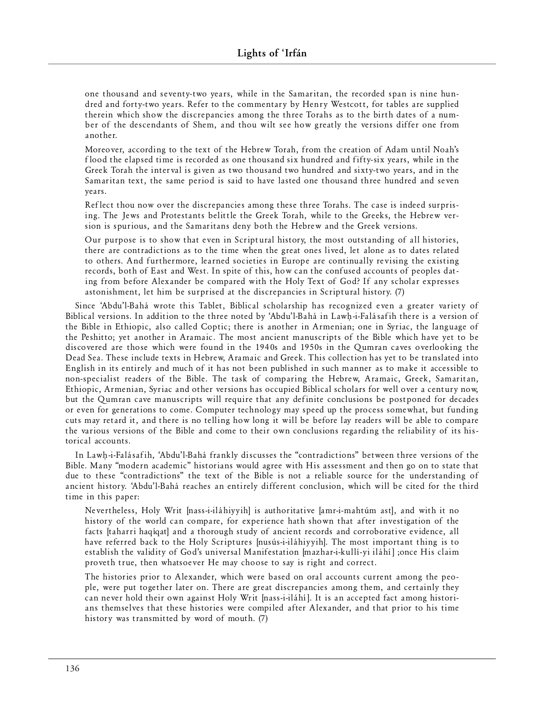one thousand and seventy-two years, while in the Samaritan, the recorded span is nine hundred and forty-two years. Refer to the commentary by Henry Westcott, for tables are supplied therein which show the discrepancies among the three Torahs as to the birth dates of a number of the descendants of Shem, and thou wilt see how greatly the versions differ one from another.

Moreover, according to the text of the Hebrew Torah, from the creation of Adam until Noah's flood the elapsed time is recorded as one thousand six hundred and fifty-six years, while in the Greek Torah the interval is given as two thousand two hundred and sixty-two years, and in the Samaritan text, the same period is said to have lasted one thousand three hundred and seven years.

Reflect thou now over the discrepancies among these three Torahs. The case is indeed surprising. The Jews and Protestants belittle the Greek Torah, while to the Greeks, the Hebrew version is spurious, and the Samaritans deny both the Hebrew and the Greek versions.

Our purpose is to show that even in Scriptural history, the most outstanding of all histories, there are contradictions as to the time when the great ones lived, let alone as to dates related to others. And furthermore, learned societies in Europe are continually revising the existing records, both of East and West. In spite of this, how can the confused accounts of peoples dating from before Alexander be compared with the Holy Text of God? If any scholar expresses as ton is hment, let him be surprised at the discrepancies in Scriptural history. (7)

Since 'Abdu'l-Bahá wrote this Tablet, Biblical scholarship has recognized even a greater variety of Biblical versions. In addition to the three noted by 'Abdu'l-Bahá in Lawh-i-Falásafih there is a version of the Bible in Ethiopic, also called Coptic; there is another in Armenian; one in Syriac, the language of the Peshitto; yet another in Aramaic. The most ancient manuscripts of the Bible which have yet to be discovered are those which were found in the 1940s and 1950s in the Qumran caves overlooking the Dead Sea. These include texts in Hebrew, Aramaic and Greek. This collection has yet to be translated into English in its entirely and much of it has not been published in such manner as to make it accessible to non-specialist readers of the Bible. The task of comparing the Hebrew, Aramaic, Greek, Samaritan, Ethiopic, Armenian, Syriac and other versions has occupied Biblical scholars for well over a century now, but the Qumran cave manuscripts will require that any definite conclusions be postponed for decades or even for generations to come. Computer technology may speed up the process somewhat, but funding cuts may retard it, and there is no telling how long it will be before lay readers will be able to compare the various versions of the Bible and come to their own conclusions regarding the reliability of its historical accounts.

In Lawh-i-Falásafih, 'Abdu'l-Bahá frankly discusses the "contradictions" between three versions of the Bible. Many "modern academic" historians would agree with His assessment and then go on to state that due to these "contradictions" the text of the Bible is not a reliable source for the understanding of ancient history. 'Abdu'l-Bahá reaches an entirely different conclusion, which will be cited for the third time in this paper:

Nevertheless, Holy Writ [nass-i-iláhiyyih] is authoritative [amr-i-mahtúm ast], and with it no history of the world can compare, for experience hath shown that after investigation of the facts [taharri haqíqat] and a thorough study of ancient records and corroborative evidence, all have referred back to the Holy Scriptures [nusús-i-iláhiyyih]. The most important thing is to establish the validity of God's universal Manifestation [mazhar-i-kullí-yi iláhí] ;once His claim proveth true, then whatsoever He may choose to say is right and correct.

The histories prior to Alexander, which were based on oral accounts current among the people, were put together later on. There are great discrepancies among them, and certainly they can never hold their own against Holy Writ [nass-i-iláhí]. It is an accepted fact among historians themselves that these histories were compiled after Alexander, and that prior to his time history was transmitted by word of mouth.  $(7)$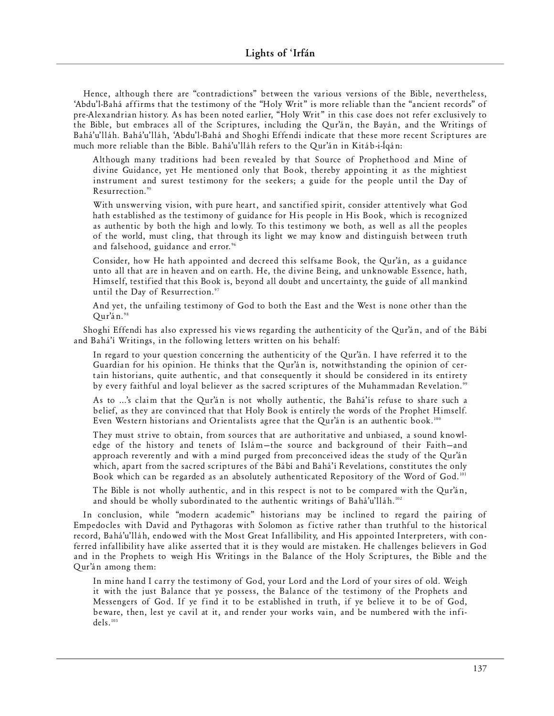Hence, although there are "contradictions" between the various versions of the Bible, nevertheless, 'Abdu'l-Bahá affirms that the testimony of the "Holy Writ" is more reliable than the "ancient records" of pre-Alexandrian history. As has been noted earlier, "Holy Writ" in this case does not refer exclusively to the Bible, but embraces all of the Scriptures, including the Qur'án, the Bayán, and the Writings of Bahá'u'lláh. Bahá'u'lláh, 'Abdu'l-Bahá and Shoghi Effendi indicate that these more recent Scriptures are much more reliable than the Bible. Bahá'u'lláh refers to the Qur'án in Kitáb-i-Ígán:

Although many traditions had been revealed by that Source of Prophethood and Mine of divine Guidance, yet He mentioned only that Book, thereby appointing it as the mightiest instrument and surest testimony for the seekers; a guide for the people until the Day of Resurrection.<sup>95</sup>

With unswerving vision, with pure heart, and sanctified spirit, consider attentively what God hath established as the testimony of guidance for His people in His Book, which is recognized as authentic by both the high and lowly. To this testimony we both, as well as all the peoples of the world, must cling, that through its light we may know and distinguish between truth and falsehood, guidance and error.<sup>96</sup>

Consider, how He hath appointed and decreed this selfsame Book, the Qur'án, as a guidance unto all that are in heaven and on earth. He, the divine Being, and unknowable Essence, hath, Himself, testified that this Book is, beyond all doubt and uncertainty, the guide of all mankind until the Day of Resurrection.<sup>97</sup>

And yet, the unfailing testimony of God to both the East and the West is none other than the Qur'án.98

Shoghi Effendi has also expressed his views regarding the authenticity of the Qur'án, and of the Bábí and Bahá'í Writings, in the following letters written on his behalf:

In regard to your question concerning the authenticity of the Our'an. I have referred it to the Guardian for his opinion. He thinks that the Qur'an is, notwithstanding the opinion of certain historians, quite authentic, and that consequently it should be considered in its entirety by every faithful and loyal believer as the sacred scriptures of the Muhammadan Revelation."

As to ...'s claim that the Qur'an is not wholly authentic, the Bahá'is refuse to share such a belief, as they are convinced that that Holy Book is entirely the words of the Prophet Himself. Even Western historians and Orientalists agree that the Qur'án is an authentic book.<sup>100</sup>

They must strive to obtain, from sources that are authoritative and unbiased, a sound knowledge of the history and tenets of Islám-the source and background of their Faith-and approach reverently and with a mind purged from preconceived ideas the study of the Qur'án which, apart from the sacred scriptures of the Bábí and Bahá'í Revelations, constitutes the only Book which can be regarded as an absolutely authenticated Repository of the Word of God.<sup>101</sup>

The Bible is not wholly authentic, and in this respect is not to be compared with the Qur'án, and should be wholly subordinated to the authentic writings of Bahá'u'lláh.<sup>102</sup>

In conclusion, while "modern academic" historians may be inclined to regard the pairing of Empedocles with David and Pythagoras with Solomon as fictive rather than truthful to the historical record, Bahá'u'lláh, endowed with the Most Great Infallibility, and His appointed Interpreters, with conferred infallibility have alike asserted that it is they would are mistaken. He challenges believers in God and in the Prophets to weigh His Writings in the Balance of the Holy Scriptures, the Bible and the Qur'án among them:

In mine hand I carry the testimony of God, your Lord and the Lord of your sires of old. Weigh it with the just Balance that ye possess, the Balance of the testimony of the Prophets and Messengers of God. If ye find it to be established in truth, if ye believe it to be of God, beware, then, lest ye cavil at it, and render your works vain, and be numbered with the infi $dels.$ <sup>103</sup>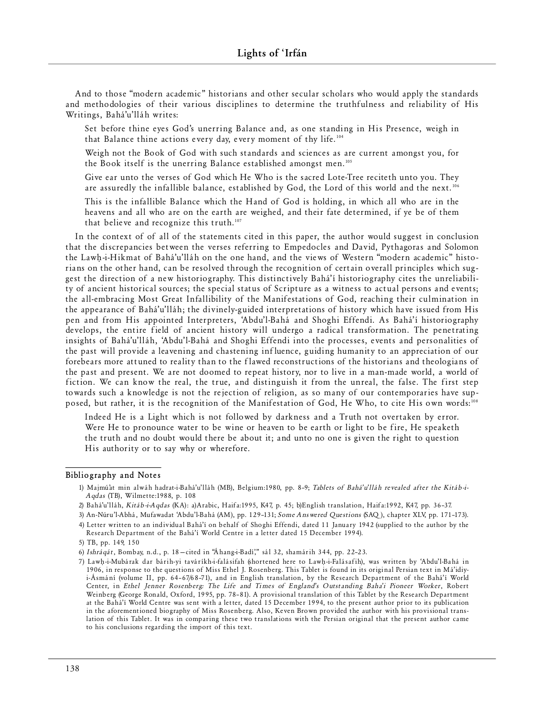And to those "modern academic" historians and other secular scholars who would apply the standards and methodologies of their various disciplines to determine the truthfulness and reliability of His Writings, Bahá'u'lláh writes:

Set before thine eyes God's unerring Balance and, as one standing in His Presence, weigh in that Balance thine actions every day, every moment of thy life.<sup>104</sup>

Weigh not the Book of God with such standards and sciences as are current amongst you, for the Book itself is the unerring Balance established amongst men.<sup>105</sup>

Give ear unto the verses of God which He Who is the sacred Lote-Tree reciteth unto you. They are assuredly the infallible balance, established by God, the Lord of this world and the next.<sup>106</sup>

This is the infallible Balance which the Hand of God is holding, in which all who are in the heavens and all who are on the earth are weighed, and their fate determined, if ye be of them that believe and recognize this truth.<sup>107</sup>

In the context of of all of the statements cited in this paper, the author would suggest in conclusion that the discrepancies between the verses referring to Empedocles and David, Pythagoras and Solomon the Lawh-i-Hikmat of Bahá'u'lláh on the one hand, and the views of Western "modern academic" historians on the other hand, can be resolved through the recognition of certain overall principles which suggest the direction of a new historiography. This distinctively Bahá'í historiography cites the unreliability of ancient historical sources; the special status of Scripture as a witness to actual persons and events; the all-embracing Most Great Infallibility of the Manifestations of God, reaching their culmination in the appearance of Bahá'u'lláh; the divinely-guided interpretations of history which have issued from His pen and from His appointed Interpreters, 'Abdu'l-Bahá and Shoghi Effendi. As Bahá'í historiography develops, the entire field of ancient history will undergo a radical transformation. The penetrating insights of Bahá'u'lláh, 'Abdu'l-Bahá and Shoghi Effendi into the processes, events and personalities of the past will provide a leavening and chastening influence, guiding humanity to an appreciation of our forebears more attuned to reality than to the flawed reconstructions of the historians and theologians of the past and present. We are not doomed to repeat history, nor to live in a man-made world, a world of fiction. We can know the real, the true, and distinguish it from the unreal, the false. The first step towards such a knowledge is not the rejection of religion, as so many of our contemporaries have supposed, but rather, it is the recognition of the Manifestation of God, He Who, to cite His own words:" "

Indeed He is a Light which is not followed by darkness and a Truth not overtaken by error. Were He to pronounce water to be wine or heaven to be earth or light to be fire, He speaketh the truth and no doubt would there be about it; and unto no one is given the right to question His authority or to say why or wherefore.

## **Bibliography and Notes**

- 1) Majmú'at min alwáh hadrat-i-Bahá'u'lláh (MB), Belgium:1980, pp. 8-9; *Tablets of Bahá'u'lláh revealed after the Kitáb-i-Aqdas* (TB), Wilmette:1988, p. 108
- 2) Bahá'u'lláh, *Kitáb-i-A qdas* (KA): a) Arabic, Haifa:1995, K47, p. 45; b)English translation, Haifa:1992, K47, pp. 36-37.
- 3) An-Nú r u' l-Abhá, Mu fawad at 'Abdu' l-B ahá (AM), pp. 129 –131; *S ome Answe red Que s ti ons* (SAQ), chap ter XLV, pp. 171–173).
- 4) Letter written to an individual Bahá'í on behalf of Shoghi Effendi, dated 11 January 1942 (supplied to the author by the Research Department of the Bahá'í World Centre in a letter dated 15 December 1994).

<sup>5)</sup> TB, pp. 149, 150

<sup>6)</sup> *I s hr á qá t*, Bomb ay, n.d., p. 18—ci ted in "Áh an g-i-B adí '," sál 32, sham ár ih 344, pp. 22–23.

<sup>7)</sup> Lawh-i-Mubárak dar bárih-yi taváríkh-i-falásifah (shortened here to Lawh-i-Falásafih), was written by 'Abdu'l-Bahá in 1906, in response to the questions of Miss Ethel J. Rosenberg. This Tablet is found in its original Persian text in Má'idiyi-Ásmání (volume II, pp. 64-67/68-71), and in English translation, by the Research Department of the Bahá'í World Center, in *Ethel Jenner Rosenberg: The Life and Times of England's Outstanding Baha'i Pioneer Worker*, Robert Weinberg (George Ronald, Oxford, 1995, pp. 78-81). A provisional translation of this Tablet by the Research Department at the Bahá'í World Centre was sent with a letter, dated 15 December 1994, to the present author prior to its publication in the aforementioned biography of Miss Rosenberg. Also, Keven Brown provided the author with his provisional translation of this Tablet. It was in comparing these two translations with the Persian original that the present author came to his conclusions regarding the import of this text.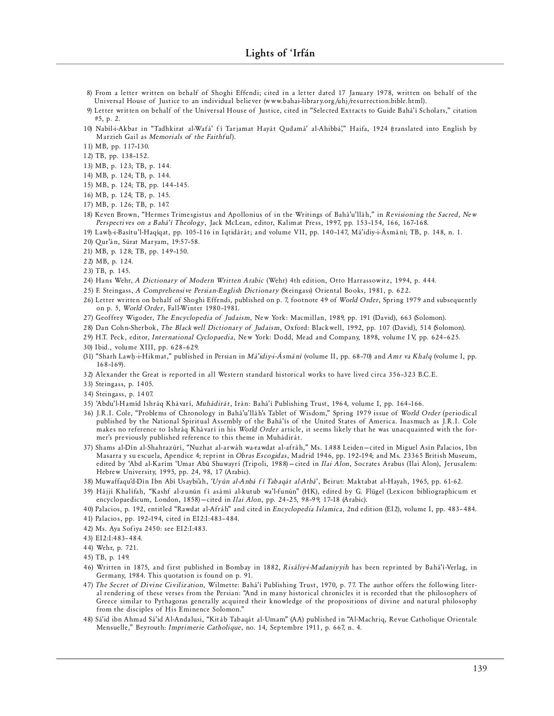- 8) From a letter written on behalf of Shoghi Effendi; cited in a letter dated 17 January 1978, written on behalf of the Universal House of Justice to an individual believer (www.bahai-library.org/uhj/resurrection.bible.html).
- 9) Letter written on behalf of the Universal House of Justice, cited in "Selected Extracts to Guide Bahá'í Scholars," citation #5, p. 2.
- 10) Nabíl-i-Akbar in "Tadhkirat al-Wafá' fí Tarjamat Hayát Qudamá' al-Ahibbá," Haifa, 1924 (translated into English by Marzieh Gail as *Memorials of the Faithful*).
- 11) MB, pp. 117–130.

12) TB, pp. 138 –152 .

13) MB, p. 123; TB, p. 144.

- 14) MB, p. 124; TB, p. 144.
- 15) MB, p. 124; TB, pp. 144–145.
- 16) MB, p. 124; TB, p. 145.
- 17) MB, p. 126; TB, p. 147.
- 18) Keven Brown, "Hermes Trimesgistus and Apollonius of in the Writings of Bahá'u'lláh," in *Revisioning the Sacred, New* Perspectives on a Bahá'í Theology, Jack McLean, editor, Kalimat Press, 1997, pp. 153-154, 166, 167-168.
- 19) Lawh-i-Basítu'l-Haqíqat, pp. 105-116 in Iqtidárát; and volume VII, pp. 140-147, Má'idiy-i-Ásmání; TB, p. 148, n. 1.
- 20) Qur'án, Súrat Maryam, 19:57-58.
- 21) MB, p. 128; TB, pp. 149 –150.

22) MB, p. 124.

23) TB, p. 145.

- 24) Hans Wehr, *A Dictionary of Modern Written Arabic* (Wehr) 4th edition, Otto Harrassowitz, 1994, p. 444.
- 25) F. Steingass, *A Comprehensive Persian-English Dictionary* (Steingass) Oriental Books, 1981, p. 622.
- 26) Letter written on behalf of Shoghi Effendi, published on p. 7, footnote 49 of *World Order*, Spring 1979 and subsequently on p. 5, *World Order*, Fall-Winter 1980-1981.
- 27) Geoffrey Wigoder, *The Encyclopedia of Judaism*, New York: Macmillan, 1989, pp. 191 (David), 663 (Solomon).
- 28) Dan Cohn-Sherbok, *The Black well Dictionary of Judaism*, Oxford: Black well, 1992, pp. 107 (David), 514 (Solomon).
- 29) H.T. Peck, editor, *International Cyclopaedia*, New York: Dodd, Mead and Company, 1898, volume IV, pp. 624-625.
- 30) Ibid., volume XIII, pp. 628-629.
- (31) "Sharh Lawh-i-Hikmat," published in Persian in *Má'idiy-i-Ásmání* (volume II, pp. 68-70) and *Amr va Khalq* (volume I, pp. 168 –169).
- 32) Alexander the Great is reported in all Western standard historical works to have lived circa 356-323 B.C.E.
- 33) Steingass, p. 1405.
- 34) Stein gass, p. 1407.
- 35) 'Abdu' l-Hamíd Ishráq Khávarí, *Muhádirát*, Irán: Bahá'í Publishing Trust, 1964, volume I, pp. 164-166.
- 36) J.R.I. Cole, "Problems of Chronology in Bahá'u'lláh's Tablet of Wisdom," Spring 1979 issue of *World Order* (periodical published by the National Spiritual Assembly of the Bahá'ís of the United States of America. Inasmuch as J.R.I. Cole makes no reference to Ishráq Khávarí in his *World Order* article, it seems likely that he was unacquainted with the former's previously published reference to this theme in Muhádirát.
- 37) Shams al-Dín al-Shahrazúrí, "Nuzhat al-arwáh wa-rawdat al-afráh," Ms. 1488 Leiden-cited in Miguel Asín Palacios, Ibn Masarra y su escuela, Apendice 4; reprint in *Obras Escogidas*, Madrid 1946, pp. 192-194; and Ms. 23365 British Museum, edited by 'Abd al-Karím 'Umar Abú Shuwayrí (Tripoli, 1988) - cited in *Ilai Alon*, Socrates Arabus (Ilai Alon), Jerusalem: Hebrew University, 1995, pp. 24, 98, 17 (Arabic).
- 38) Muwaffaqu'd-Dín Ibn Abí Usaybi'ah, 'Uyún al-Anbá fí Tabaqát al-Atbá', Beirut: Maktabat al-Hayah, 1965, pp. 61-62.
- 39) Hájjí Khalífah, "Kashf al-zunún fí asámí al-kutub wa'l-funún" (HK), edited by G. Flügel (Lexicon bibliographicum et encyclopaedicum, London, 1858) - cited in *Ilai Alon*, pp. 24-25, 98-99, 17-18 (Arabic).
- 40) Palacios, p. 192, entitled "Rawdat al-Afráh" and cited in *Encyclopedia Islamica*, 2nd edition (EI2), volume I, pp. 483-484.
- 41) Palacios, pp. 192-194, cited in EI2:I:483-484.
- 42) Ms. Aya Sofiya 2450: see EI2:I:483.
- 43) EI 2:I :483–484.
- 44) Wehr, p. 721.

- 46) Written in 1875, and first published in Bombay in 1882, *Risáliy-i-Madaniyyih* has been reprinted by Bahá'í-Verlag, in Germany, 1984. This quotation is found on p. 91.
- 47) *The Secret of Divine Civilization*, Wilmette: Bahá'í Publishing Trust, 1970, p. 77. The author offers the following literal rendering of these verses from the Persian: "And in many historical chronicles it is recorded that the philosophers of Greece similar to Pythagoras generally acquired their knowledge of the propositions of divine and natural philosophy from the disciples of His Eminence Solomon."
- 48) Sá'id ibn Ahmad Sá'id Al-Andalusi, "Kitáb Tabaqát al-Umam" (AA) published in "Al-Machriq, Revue Catholique Orientale Mensuelle," Beyrouth: *Imprimerie Catholique*, no. 14, Septembre 1911, p. 667, n. 4.

<sup>45)</sup> TB, p. 149.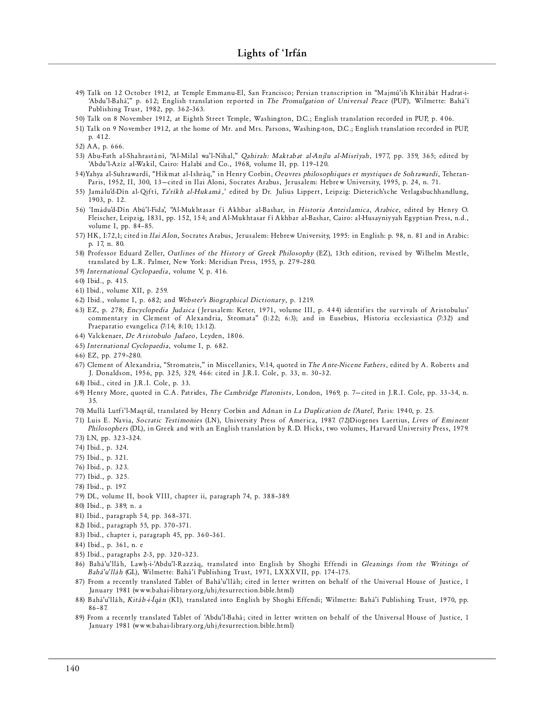- 49) Talk on 12 October 1912, at Temple Emmanu-El, San Francisco; Persian transcription in "Majmú'ih Khitábát Hadrat-i-'Abdu'l-Bahá'," p. 612; English translation reported in *The Promulgation of Universal Peace* (PUP), Wilmette: Bahá'í Publishing Trust, 1982, pp. 362-363.
- 50) Talk on 8 November 1912, at Eighth Street Temple, Washington, D.C.; English translation recorded in PUP, p. 406.
- 51) Talk on 9 November 1912, at the home of Mr. and Mrs. Parsons, Washing-ton, D.C.; English translation recorded in PUP, p. 412.
- 52) AA, p. 666.
- 53) Abu-Fath al-Shahrastání, "Al-Milal wa'l-Nihal," *Qahirah: Maktabat al-Anjlu al-Misríyah*, 1977, pp. 359, 365; edited by 'Abdu'l-Azíz al-Wakil, Cairo: Halabí and Co., 1968, volume II, pp. 119-120.
- 54)Yahya al-Suhrawardí, "Hikmat al-Ishráq," in Henry Corbin, Oeuvres philosophiques et mystiques de Sohrawardi, Teheran-Paris, 1952, II, 300, 13-cited in Ilai Aloni, Socrates Arabus, Jerusalem: Hebrew University, 1995, p. 24, n. 71.
- 55) Jamálu'd-Dín al-Qiftí, *Ta'ríkh al-Hukamá*,' edited by Dr. Julius Lippert, Leipzig: Dieterich'sche Verlagsbuchhandlung, 1903, p. 12.
- 56) 'Imádu'd-Dín Abú'l-Fida', "Al-Mukhtasar fí Akhbar al-Bashar, in Historia Anteislamica, Arabice, edited by Henry O. Fleischer, Leipzig, 1831, pp. 152, 154; and Al-Mukhtasar fí Akhbar al-Bashar, Cairo: al-Husayniyyah Egyptian Press, n.d., volume I, pp. 84– 85.
- 57) HK, I:72,1; cited in *Ilai Alon*, Socrates Arabus, Jerusalem: Hebrew University, 1995: in English: p. 98, n. 81 and in Arabic: p. 17, n. 80.
- 58) Professor Eduard Zeller, *Outlines of the History of Greek Philosophy* (EZ), 13th edition, revised by Wilhelm Mestle, translated by L.R. Palmer, New York: Meridian Press, 1955, p. 279-280.
- 59) International Cyclopaedia, volume V, p. 416.
- 60) Ibid., p. 415.
- 61) Ibid., volume XII, p. 259.
- 62) Ibid., volume I, p. 682; and *Webster's Biographical Dictionary*, p. 1219.
- 63) EZ, p. 278; *Encyclopedia Judaica* (Jerusalem: Keter, 1971, volume III, p. 444) identifies the survivals of Aristobulus' commentary in Clement of Alexandria, Stromata" (1:22; 6:3); and in Eusebius, Historia ecclesiastica (7:32) and Prae paratio evangelica (7:14; 8:10; 13:12).
- 64) Valckenaer, *De Aristobulo Judaeo*, Leyden, 1806.
- 65) *International Cyclopaedia*, volume I, p. 682.
- 66) EZ, pp. 279 –280.
- 67) Clement of Alexandria, "Stromateis," in Miscellanies, V:14, quoted in *The Ante-Nicene Fathers*, edited by A. Roberts and J. Donaldson, 1956, pp. 325, 329, 466: cited in J.R.I. Cole, p. 33, n. 30-32.
- 68) Ibid., ci ted in J.R.I. Cole, p. 33.
- 69) Henry More, quoted in C.A. Patrides, *The Cambridge Platonists*, London, 1969, p. 7-cited in J.R.I. Cole, pp. 33-34, n. 35.
- 70) Mullá Lutfi'l-Maqtúl, translated by Henry Corbin and Adnan in *La Duplication de l'Autel*, Paris: 1940, p. 25.
- 71) Luis E. Navia, *Socratic Testimonies* (LN), University Press of America, 1987. (72)Diogenes Laertius, *Lives of Eminent* Philosophers (DL), in Greek and with an English translation by R.D. Hicks, two volumes, Harvard University Press, 1979. 73) LN, pp. 323–324.
- 
- 74) Ibid., p. 324.
- 75) Ibid., p. 321.
- 76) Ibid., p. 323.
- 77) Ibid., p. 325.
- 78) Ibid., p. 197.
- 79) DL, volume II, book VIII, chapter ii, paragraph 74, p. 388-389.
- 80) Ibid., p. 389, n. a
- 81) Ibid., paragraph 54, pp. 368-371.
- 82) Ibid., paragraph 55, pp. 370-371.
- 83) Ibid., chapter i, paragraph 45, pp. 360-361.
- 84) Ibid., p. 361, n. e
- 85) Ibid., paragraphs 2-3, pp. 320-323.
- 86) Bahá'u'lláh, Lawh-i-'Abdu'l-Razzág, translated into English by Shoghi Effendi in *Gleanings from the Writings of* Bahá'u'lláh (GL), Wilmette: Bahá'í Publishing Trust, 1971, LXXXVII, pp. 174-175.
- 87) From a recently translated Tablet of Bahá'u'lláh; cited in letter written on behalf of the Universal House of Justice, 1 January 1981 (www.bahai-library.org/uhj/resurrection.bible.html)
- 88) Bahá'u'lláh, Kitáb-i-Íqán (KI), translated into English by Shoghi Effendi; Wilmette: Bahá'í Publishing Trust, 1970, pp. 86– 87.
- 89) From a recently translated Tablet of 'Abdu'l-Bahá; cited in letter written on behalf of the Universal House of Justice, 1 January 1981 (www.bahai-library.org/uhj/resurrection.bible.html)